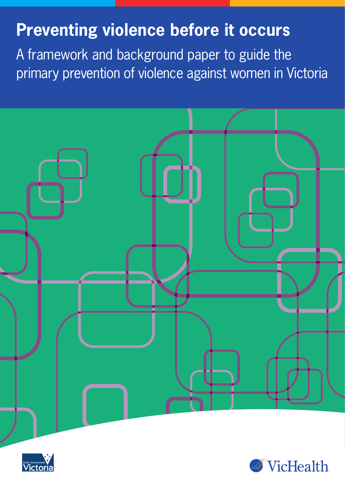# **Preventing violence before it occurs**

A framework and background paper to guide the primary prevention of violence against women in Victoria





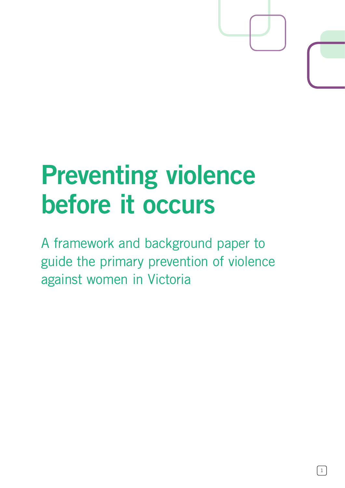# **Preventing violence before it occurs**

A framework and background paper to guide the primary prevention of violence against women in Victoria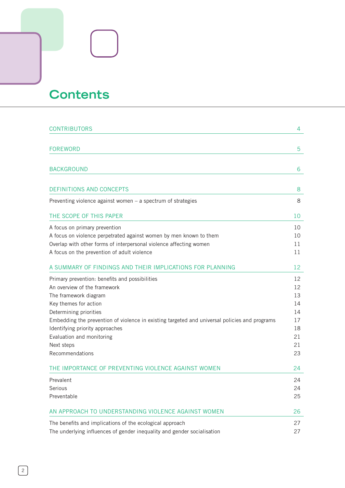# **Contents**

| <b>CONTRIBUTORS</b>                                                                           | 4  |  |
|-----------------------------------------------------------------------------------------------|----|--|
|                                                                                               |    |  |
| <b>FOREWORD</b>                                                                               | 5  |  |
|                                                                                               |    |  |
| <b>BACKGROUND</b>                                                                             | 6  |  |
|                                                                                               |    |  |
| <b>DEFINITIONS AND CONCEPTS</b>                                                               | 8  |  |
| Preventing violence against women $-$ a spectrum of strategies                                | 8  |  |
| THE SCOPE OF THIS PAPER                                                                       | 10 |  |
| A focus on primary prevention                                                                 | 10 |  |
| A focus on violence perpetrated against women by men known to them                            | 10 |  |
| Overlap with other forms of interpersonal violence affecting women                            | 11 |  |
| A focus on the prevention of adult violence                                                   | 11 |  |
| A SUMMARY OF FINDINGS AND THEIR IMPLICATIONS FOR PLANNING                                     | 12 |  |
| Primary prevention: benefits and possibilities                                                | 12 |  |
| An overview of the framework                                                                  | 12 |  |
| The framework diagram                                                                         | 13 |  |
| Key themes for action                                                                         | 14 |  |
| Determining priorities                                                                        | 14 |  |
| Embedding the prevention of violence in existing targeted and universal policies and programs | 17 |  |
| Identifying priority approaches                                                               | 18 |  |
| Evaluation and monitoring                                                                     | 21 |  |
| Next steps                                                                                    | 21 |  |
| Recommendations                                                                               | 23 |  |
| THE IMPORTANCE OF PREVENTING VIOLENCE AGAINST WOMEN                                           | 24 |  |
| Prevalent                                                                                     | 24 |  |
| Serious                                                                                       | 24 |  |
| Preventable                                                                                   | 25 |  |
| AN APPROACH TO UNDERSTANDING VIOLENCE AGAINST WOMEN                                           | 26 |  |
| The benefits and implications of the ecological approach                                      | 27 |  |
| The underlying influences of gender inequality and gender socialisation                       |    |  |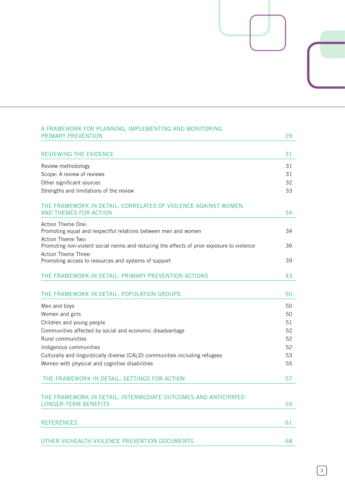| A FRAMEWORK FOR PLANNING, IMPLEMENTING AND MONITORING<br><b>PRIMARY PREVENTION</b>        | 29       |
|-------------------------------------------------------------------------------------------|----------|
| <b>REVIEWING THE EVIDENCE</b>                                                             | 31       |
|                                                                                           |          |
| Review methodology<br>Scope: A review of reviews                                          | 31<br>31 |
| Other significant sources                                                                 | 32       |
| Strengths and limitations of the review                                                   | 33       |
|                                                                                           |          |
| THE FRAMEWORK IN DETAIL: CORRELATES OF VIOLENCE AGAINST WOMEN                             |          |
| <b>AND THEMES FOR ACTION</b>                                                              | 34       |
| Action Theme One:                                                                         |          |
| Promoting equal and respectful relations between men and women                            | 34       |
| Action Theme Two:                                                                         |          |
| Promoting non-violent social norms and reducing the effects of prior exposure to violence | 36       |
| Action Theme Three:<br>Promoting access to resources and systems of support               | 39       |
|                                                                                           |          |
| THE FRAMEWORK IN DETAIL: PRIMARY PREVENTION ACTIONS                                       | 43       |
| THE FRAMEWORK IN DETAIL: POPULATION GROUPS                                                | 50       |
| Men and boys                                                                              | 50       |
| Women and girls                                                                           | 50       |
| Children and young people                                                                 | 51       |
| Communities affected by social and economic disadvantage                                  | 52       |
| Rural communities                                                                         | 52       |
| Indigenous communities                                                                    | 52       |
| Culturally and linguistically diverse (CALD) communities including refugees               | 53       |
| Women with physical and cognitive disabilities                                            | 55       |
| THE FRAMEWORK IN DETAIL: SETTINGS FOR ACTION                                              | 57       |
| THE FRAMEWORK IN DETAIL: INTERMEDIATE OUTCOMES AND ANTICIPATED                            |          |
| <b>LONGER-TERM BENEFITS</b>                                                               | 59       |
| <b>REFERENCES</b>                                                                         | 61       |
| OTHER VICHEALTH VIOLENCE PREVENTION DOCUMENTS                                             | 68       |
|                                                                                           |          |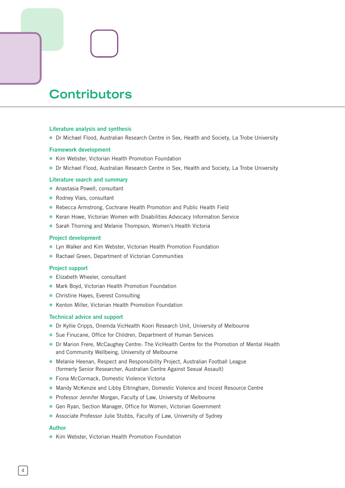# **Contributors**

### **Literature analysis and synthesis**

● Dr Michael Flood, Australian Research Centre in Sex, Health and Society, La Trobe University

### **Framework development**

- Kim Webster, Victorian Health Promotion Foundation
- Dr Michael Flood, Australian Research Centre in Sex, Health and Society, La Trobe University

### **Literature search and summary**

- Anastasia Powell, consultant ⓦ
- Rodney Vlais, consultant
- Rebecca Armstrong, Cochrane Health Promotion and Public Health Field
- Keran Howe, Victorian Women with Disabilities Advocacy Information Service
- Sarah Thorning and Melanie Thompson, Women's Health Victoria

### **Project development**

- Lyn Walker and Kim Webster, Victorian Health Promotion Foundation
- Rachael Green, Department of Victorian Communities

### **Project support**

- **•** Elizabeth Wheeler, consultant
- Mark Boyd, Victorian Health Promotion Foundation
- Christine Hayes, Everest Consulting
- Kenton Miller, Victorian Health Promotion Foundation

### **Technical advice and support**

- Dr Kyllie Cripps, Onemda VicHealth Koori Research Unit, University of Melbourne ⓦ
- Sue Finucane, Office for Children, Department of Human Services
- Dr Marion Frere, McCaughey Centre: The VicHealth Centre for the Promotion of Mental Health and Community Wellbeing, University of Melbourne
- Melanie Heenan, Respect and Responsibility Project, Australian Football League (formerly Senior Researcher, Australian Centre Against Sexual Assault)
- **•** Fiona McCormack, Domestic Violence Victoria
- Mandy McKenzie and Libby Eltringham, Domestic Violence and Incest Resource Centre
- Professor Jennifer Morgan, Faculty of Law, University of Melbourne
- Gen Ryan, Section Manager, Office for Women, Victorian Government
- Associate Professor Julie Stubbs, Faculty of Law, University of Sydney

### **Author**

● Kim Webster, Victorian Health Promotion Foundation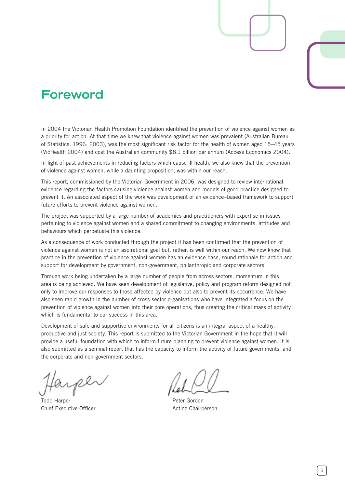## **Foreword**

In 2004 the Victorian Health Promotion Foundation identified the prevention of violence against women as a priority for action. At that time we knew that violence against women was prevalent (Australian Bureau of Statistics, 1996: 2003), was the most significant risk factor for the health of women aged 15–45 years (VicHealth 2004) and cost the Australian community \$8.1 billion per annum (Access Economics 2004).

In light of past achievements in reducing factors which cause ill health, we also knew that the prevention of violence against women, while a daunting proposition, was within our reach.

This report, commissioned by the Victorian Government in 2006, was designed to review international evidence regarding the factors causing violence against women and models of good practice designed to prevent it. An associated aspect of the work was development of an evidence–based framework to support future efforts to prevent violence against women.

The project was supported by a large number of academics and practitioners with expertise in issues pertaining to violence against women and a shared commitment to changing environments, attitudes and behaviours which perpetuate this violence.

As a consequence of work conducted through the project it has been confirmed that the prevention of violence against women is not an aspirational goal but, rather, is well within our reach. We now know that practice in the prevention of violence against women has an evidence base, sound rationale for action and support for development by government, non-government, philanthropic and corporate sectors.

Through work being undertaken by a large number of people from across sectors, momentum in this area is being achieved. We have seen development of legislative, policy and program reform designed not only to improve our responses to those affected by violence but also to prevent its occurrence. We have also seen rapid growth in the number of cross-sector organisations who have integrated a focus on the prevention of violence against women into their core operations, thus creating the critical mass of activity which is fundamental to our success in this area.

Development of safe and supportive environments for all citizens is an integral aspect of a healthy, productive and just society. This report is submitted to the Victorian Government in the hope that it will provide a useful foundation with which to inform future planning to prevent violence against women. It is also submitted as a seminal report that has the capacity to inform the activity of future governments, and the corporate and non-government sectors.

Todd Harper **National Structure Control** Peter Gordon Chief Executive Officer **Acting Chairperson** Acting Chairperson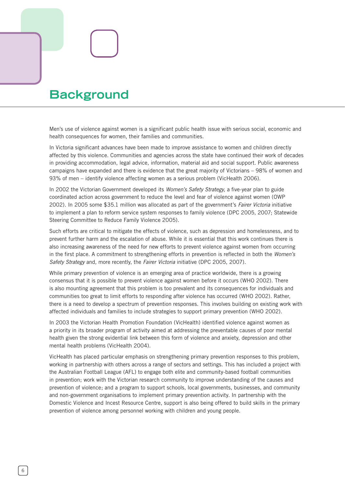# **Background**

Men's use of violence against women is a significant public health issue with serious social, economic and health consequences for women, their families and communities.

In Victoria significant advances have been made to improve assistance to women and children directly affected by this violence. Communities and agencies across the state have continued their work of decades in providing accommodation, legal advice, information, material aid and social support. Public awareness campaigns have expanded and there is evidence that the great majority of Victorians – 98% of women and 93% of men – identify violence affecting women as a serious problem (VicHealth 2006).

In 2002 the Victorian Government developed its *Women's Safety Strategy,* a five-year plan to guide coordinated action across government to reduce the level and fear of violence against women (OWP 2002). In 2005 some \$35.1 million was allocated as part of the government's *Fairer Victoria* initiative to implement a plan to reform service system responses to family violence (DPC 2005, 2007; Statewide Steering Committee to Reduce Family Violence 2005).

Such efforts are critical to mitigate the effects of violence, such as depression and homelessness, and to prevent further harm and the escalation of abuse. While it is essential that this work continues there is also increasing awareness of the need for new efforts to prevent violence against women from occurring in the first place. A commitment to strengthening efforts in prevention is reflected in both the *Women's Safety Strategy* and, more recently, the *Fairer Victoria* initiative (DPC 2005, 2007).

While primary prevention of violence is an emerging area of practice worldwide, there is a growing consensus that it is possible to prevent violence against women before it occurs (WHO 2002). There is also mounting agreement that this problem is too prevalent and its consequences for individuals and communities too great to limit efforts to responding after violence has occurred (WHO 2002). Rather, there is a need to develop a spectrum of prevention responses. This involves building on existing work with affected individuals and families to include strategies to support primary prevention (WHO 2002).

In 2003 the Victorian Health Promotion Foundation (VicHealth) identified violence against women as a priority in its broader program of activity aimed at addressing the preventable causes of poor mental health given the strong evidential link between this form of violence and anxiety, depression and other mental health problems (VicHealth 2004).

VicHealth has placed particular emphasis on strengthening primary prevention responses to this problem, working in partnership with others across a range of sectors and settings. This has included a project with the Australian Football League (AFL) to engage both elite and community-based football communities in prevention; work with the Victorian research community to improve understanding of the causes and prevention of violence; and a program to support schools, local governments, businesses, and community and non-government organisations to implement primary prevention activity. In partnership with the Domestic Violence and Incest Resource Centre, support is also being offered to build skills in the primary prevention of violence among personnel working with children and young people.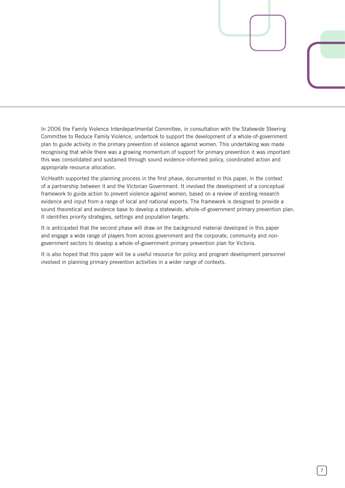In 2006 the Family Violence Interdepartmental Committee, in consultation with the Statewide Steering Committee to Reduce Family Violence, undertook to support the development of a whole-of-government plan to guide activity in the primary prevention of violence against women. This undertaking was made recognising that while there was a growing momentum of support for primary prevention it was important this was consolidated and sustained through sound evidence-informed policy, coordinated action and appropriate resource allocation.

VicHealth supported the planning process in the first phase, documented in this paper, in the context of a partnership between it and the Victorian Government. It involved the development of a conceptual framework to guide action to prevent violence against women, based on a review of existing research evidence and input from a range of local and national experts. The framework is designed to provide a sound theoretical and evidence base to develop a statewide, whole-of-government primary prevention plan. It identifies priority strategies, settings and population targets.

It is anticipated that the second phase will draw on the background material developed in this paper and engage a wide range of players from across government and the corporate, community and nongovernment sectors to develop a whole-of-government primary prevention plan for Victoria.

It is also hoped that this paper will be a useful resource for policy and program development personnel involved in planning primary prevention activities in a wider range of contexts.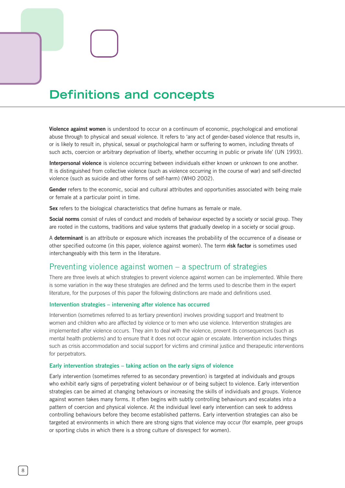# **Definitions and concepts**

**Violence against women** is understood to occur on a continuum of economic, psychological and emotional abuse through to physical and sexual violence. It refers to 'any act of gender-based violence that results in, or is likely to result in, physical, sexual or psychological harm or suffering to women, including threats of such acts, coercion or arbitrary deprivation of liberty, whether occurring in public or private life' (UN 1993).

**Interpersonal violence** is violence occurring between individuals either known or unknown to one another. It is distinguished from collective violence (such as violence occurring in the course of war) and self-directed violence (such as suicide and other forms of self-harm) (WHO 2002).

**Gender** refers to the economic, social and cultural attributes and opportunities associated with being male or female at a particular point in time.

**Sex** refers to the biological characteristics that define humans as female or male.

**Social norms** consist of rules of conduct and models of behaviour expected by a society or social group. They are rooted in the customs, traditions and value systems that gradually develop in a society or social group.

A **determinant** is an attribute or exposure which increases the probability of the occurrence of a disease or other specified outcome (in this paper, violence against women). The term **risk factor** is sometimes used interchangeably with this term in the literature.

### Preventing violence against women – a spectrum of strategies

There are three levels at which strategies to prevent violence against women can be implemented. While there is some variation in the way these strategies are defined and the terms used to describe them in the expert literature, for the purposes of this paper the following distinctions are made and definitions used.

### **Intervention strategies – intervening after violence has occurred**

Intervention (sometimes referred to as tertiary prevention) involves providing support and treatment to women and children who are affected by violence or to men who use violence. Intervention strategies are implemented after violence occurs. They aim to deal with the violence, prevent its consequences (such as mental health problems) and to ensure that it does not occur again or escalate. Intervention includes things such as crisis accommodation and social support for victims and criminal justice and therapeutic interventions for perpetrators.

### **Early intervention strategies – taking action on the early signs of violence**

Early intervention (sometimes referred to as secondary prevention) is targeted at individuals and groups who exhibit early signs of perpetrating violent behaviour or of being subject to violence. Early intervention strategies can be aimed at changing behaviours or increasing the skills of individuals and groups. Violence against women takes many forms. It often begins with subtly controlling behaviours and escalates into a pattern of coercion and physical violence. At the individual level early intervention can seek to address controlling behaviours before they become established patterns. Early intervention strategies can also be targeted at environments in which there are strong signs that violence may occur (for example, peer groups or sporting clubs in which there is a strong culture of disrespect for women).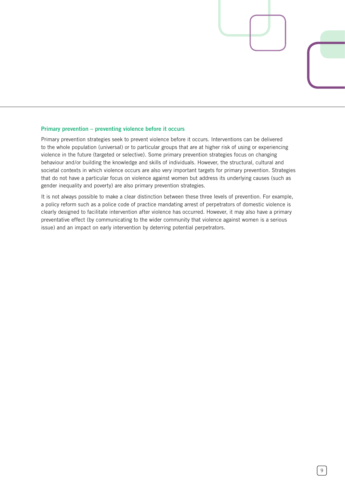### **Primary prevention – preventing violence before it occurs**

Primary prevention strategies seek to prevent violence before it occurs. Interventions can be delivered to the whole population (universal) or to particular groups that are at higher risk of using or experiencing violence in the future (targeted or selective). Some primary prevention strategies focus on changing behaviour and/or building the knowledge and skills of individuals. However, the structural, cultural and societal contexts in which violence occurs are also very important targets for primary prevention. Strategies that do not have a particular focus on violence against women but address its underlying causes (such as gender inequality and poverty) are also primary prevention strategies.

It is not always possible to make a clear distinction between these three levels of prevention. For example, a policy reform such as a police code of practice mandating arrest of perpetrators of domestic violence is clearly designed to facilitate intervention after violence has occurred. However, it may also have a primary preventative effect (by communicating to the wider community that violence against women is a serious issue) and an impact on early intervention by deterring potential perpetrators.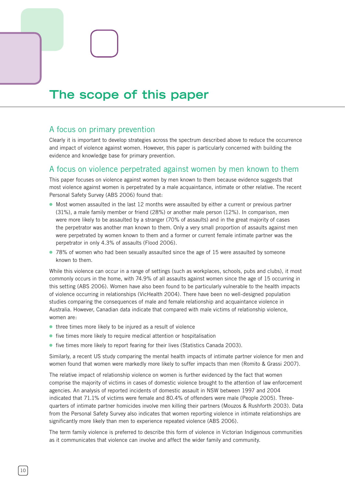# **The scope of this paper**

### A focus on primary prevention

Clearly it is important to develop strategies across the spectrum described above to reduce the occurrence and impact of violence against women. However, this paper is particularly concerned with building the evidence and knowledge base for primary prevention.

### A focus on violence perpetrated against women by men known to them

This paper focuses on violence against women by men known to them because evidence suggests that most violence against women is perpetrated by a male acquaintance, intimate or other relative. The recent Personal Safety Survey (ABS 2006) found that:

- Most women assaulted in the last 12 months were assaulted by either a current or previous partner (31%), a male family member or friend (28%) or another male person (12%). In comparison, men were more likely to be assaulted by a stranger (70% of assaults) and in the great majority of cases the perpetrator was another man known to them. Only a very small proportion of assaults against men were perpetrated by women known to them and a former or current female intimate partner was the perpetrator in only 4.3% of assaults (Flood 2006).
- 78% of women who had been sexually assaulted since the age of 15 were assaulted by someone known to them.

While this violence can occur in a range of settings (such as workplaces, schools, pubs and clubs), it most commonly occurs in the home, with 74.9% of all assaults against women since the age of 15 occurring in this setting (ABS 2006). Women have also been found to be particularly vulnerable to the health impacts of violence occurring in relationships (VicHealth 2004). There have been no well-designed population studies comparing the consequences of male and female relationship and acquaintance violence in Australia. However, Canadian data indicate that compared with male victims of relationship violence, women are:

- three times more likely to be injured as a result of violence
- five times more likely to require medical attention or hospitalisation
- five times more likely to report fearing for their lives (Statistics Canada 2003).

Similarly, a recent US study comparing the mental health impacts of intimate partner violence for men and women found that women were markedly more likely to suffer impacts than men (Romito & Grassi 2007).

The relative impact of relationship violence on women is further evidenced by the fact that women comprise the majority of victims in cases of domestic violence brought to the attention of law enforcement agencies. An analysis of reported incidents of domestic assault in NSW between 1997 and 2004 indicated that 71.1% of victims were female and 80.4% of offenders were male (People 2005). Threequarters of intimate partner homicides involve men killing their partners (Mouzos & Rushforth 2003). Data from the Personal Safety Survey also indicates that women reporting violence in intimate relationships are significantly more likely than men to experience repeated violence (ABS 2006).

The term family violence is preferred to describe this form of violence in Victorian Indigenous communities as it communicates that violence can involve and affect the wider family and community.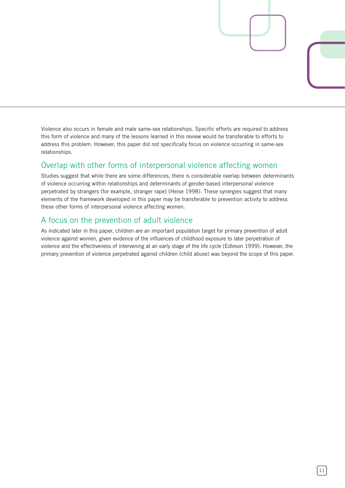Violence also occurs in female and male same-sex relationships. Specific efforts are required to address this form of violence and many of the lessons learned in this review would be transferable to efforts to address this problem. However, this paper did not specifically focus on violence occurring in same-sex relationships.

### Overlap with other forms of interpersonal violence affecting women

Studies suggest that while there are some differences, there is considerable overlap between determinants of violence occurring within relationships and determinants of gender-based interpersonal violence perpetrated by strangers (for example, stranger rape) (Heise 1998). These synergies suggest that many elements of the framework developed in this paper may be transferable to prevention activity to address these other forms of interpersonal violence affecting women.

### A focus on the prevention of adult violence

As indicated later in this paper, children are an important population target for primary prevention of adult violence against women, given evidence of the influences of childhood exposure to later perpetration of violence and the effectiveness of intervening at an early stage of the life cycle (Edleson 1999). However, the primary prevention of violence perpetrated against children (child abuse) was beyond the scope of this paper.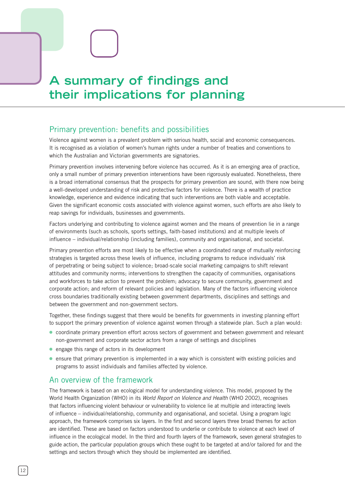**A summary of findings and their implications for planning**

### Primary prevention: benefits and possibilities

Violence against women is a prevalent problem with serious health, social and economic consequences. It is recognised as a violation of women's human rights under a number of treaties and conventions to which the Australian and Victorian governments are signatories.

Primary prevention involves intervening before violence has occurred. As it is an emerging area of practice, only a small number of primary prevention interventions have been rigorously evaluated. Nonetheless, there is a broad international consensus that the prospects for primary prevention are sound, with there now being a well-developed understanding of risk and protective factors for violence. There is a wealth of practice knowledge, experience and evidence indicating that such interventions are both viable and acceptable. Given the significant economic costs associated with violence against women, such efforts are also likely to reap savings for individuals, businesses and governments.

Factors underlying and contributing to violence against women and the means of prevention lie in a range of environments (such as schools, sports settings, faith-based institutions) and at multiple levels of influence – individual/relationship (including families), community and organisational, and societal.

Primary prevention efforts are most likely to be effective when a coordinated range of mutually reinforcing strategies is targeted across these levels of influence, including programs to reduce individuals' risk of perpetrating or being subject to violence; broad-scale social marketing campaigns to shift relevant attitudes and community norms; interventions to strengthen the capacity of communities, organisations and workforces to take action to prevent the problem; advocacy to secure community, government and corporate action; and reform of relevant policies and legislation. Many of the factors influencing violence cross boundaries traditionally existing between government departments, disciplines and settings and between the government and non-government sectors.

Together, these findings suggest that there would be benefits for governments in investing planning effort to support the primary prevention of violence against women through a statewide plan. Such a plan would:

- coordinate primary prevention effort across sectors of government and between government and relevant non-government and corporate sector actors from a range of settings and disciplines
- engage this range of actors in its development
- ensure that primary prevention is implemented in a way which is consistent with existing policies and programs to assist individuals and families affected by violence.

### An overview of the framework

The framework is based on an ecological model for understanding violence. This model, proposed by the World Health Organization (WHO) in its *World Report on Violence and Health* (WHO 2002), recognises that factors influencing violent behaviour or vulnerability to violence lie at multiple and interacting levels of influence – individual/relationship, community and organisational, and societal. Using a program logic approach, the framework comprises six layers. In the first and second layers three broad themes for action are identified. These are based on factors understood to underlie or contribute to violence at each level of influence in the ecological model. In the third and fourth layers of the framework, seven general strategies to guide action, the particular population groups which these ought to be targeted at and/or tailored for and the settings and sectors through which they should be implemented are identified.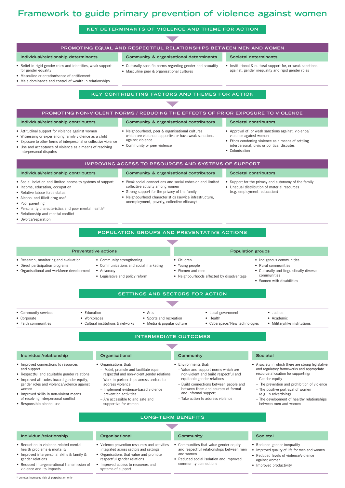### **Framework to guide primary prevention of violence against women**

# **KEY DETERMINANTS OF VIOLENCE AND THEME FOR ACTION**

**Promoting equal and respectful relationships between men and women**

**Individual/relationship determinants Community & organisational determinants Societal determinants**

### • Belief in rigid gender roles and identities, weak support for gender equality • Masculine orientation/sense of entitlement • Male dominance and control of wealth in relationships • Culturally-specific norms regarding gender and sexuality • Masculine peer & organisational cultures • Institutional & cultural support for, or weak sanctions against, gender inequality and rigid gender roles **KEY CONTRIBUTING FACTORS AND THEMES FOR ACTION Promoting non-violent norms / reducing the effects of prior exposure to violence Individual/relationship contributors Community & organisational contributors Societal contributors** • Attitudinal support for violence against women • Witnessing or experiencing family violence as a child • Exposure to other forms of interpersonal or collective violence Use and acceptance of violence as a means of resolving interpersonal disputes • Neighbourhood, peer & organisational cultures which are violence-supportive or have weak sanctions against violence • Community or peer violence • Approval of, or weak sanctions against, violence/ violence against women • Ethos condoning violence as a means of settling interpersonal, civic or political disputes • Colonisation **Improving Access to resources and systems of support Individual/relationship contributors Community & organisational contributors Societal contributors** • Social isolation and limited access to systems of support • Income, education, occupation • Relative labour force status • Alcohol and illicit drug use\* Poor parenting • Personality characteristics and poor mental health\* • Relationship and marital conflict • Divorce/separation • Weak social connections and social cohesion and limited collective activity among women Strong support for the privacy of the family • Neighbourhood characteristics (service infrastructure, unemployment, poverty, collective efficacy) Support for the privacy and autonomy of the family • Unequal distribution of material resources (e.g. employment, education) **Population Groups and preventative actions** ▼ **Preventative actions Population groups Population groups** • Research, monitoring and evaluation • Direct participation programs • Organisational and workforce development • Community strengthening • Communications and social marketing • Advocacy • Legislative and policy reform • Children • Young people • Women and men • Neighbourhoods affected by disadvantage • Indigenous communities • Rural communities • Culturally and linguistically diverse communities • Women with disabilities **Settings and sectors for action** ▼ • Community services • Corporate • Faith communities • Education • Workplaces • Cultural institutions & networks • Arts • Sports and recreation • Media & popular culture • Local government • Health • Cyberspace / New technologies • Justice • Academic • Military/like institutions **INTERMEDIATE OUTCOMES Individual/relationship Organisational Community Societal** • Improved connections to resources and support • Respectful and equitable gender relations • Improved attitudes toward gender equity, gender roles and violence/violence against women • Improved skills in non-violent means of resolving interpersonal conflict • Responsible alcohol use • Organisations that: – Model, promote and facilitate equal, respectful and non-violent gender relations – Work in partnerships across sectors to address violence – Implement evidence-based violence prevention activities – Are accessible to and safe and supportive for women • Environments that: – Value and support norms which are non-violent and build respectful and equitable gender relations – Build connections between people and between them and sources of formal and informal support – Take action to address violence • A society in which there are strong legislative and regulatory frameworks and appropriate resource allocation for supporting: – Gender equity The prevention and prohibition of violence – The positive portrayal of women (e.g. in advertising) – The development of healthy relationships between men and women LONG-TERM BENEFIT **Individual/relationship Organisational Community Societal** • Reduction in violence-related mental health problems & mortality • Improved interpersonal skills & family & gender relations • Violence prevention resources and activities integrated across sectors and settings • Organisations that value and promote respectful gender relations • Communities that value gender equity and respectful relationships between men and women • Reduced social isolation and improved • Reduced gender inequality • Improved quality of life for men and women • Reduced levels of violence/violence against women

community connections

• Improved productivity

• Reduced intergenerational transmission of violence and its impacts

• Improved access to resources and

systems of support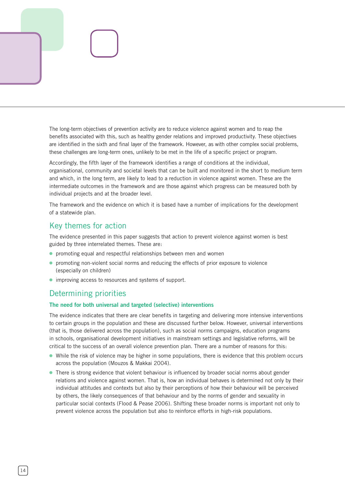The long-term objectives of prevention activity are to reduce violence against women and to reap the benefits associated with this, such as healthy gender relations and improved productivity. These objectives are identified in the sixth and final layer of the framework. However, as with other complex social problems, these challenges are long-term ones, unlikely to be met in the life of a specific project or program.

Accordingly, the fifth layer of the framework identifies a range of conditions at the individual, organisational, community and societal levels that can be built and monitored in the short to medium term and which, in the long term, are likely to lead to a reduction in violence against women. These are the intermediate outcomes in the framework and are those against which progress can be measured both by individual projects and at the broader level.

The framework and the evidence on which it is based have a number of implications for the development of a statewide plan.

### Key themes for action

The evidence presented in this paper suggests that action to prevent violence against women is best guided by three interrelated themes. These are:

- promoting equal and respectful relationships between men and women
- promoting non-violent social norms and reducing the effects of prior exposure to violence (especially on children)
- improving access to resources and systems of support.

### Determining priorities

### **The need for both universal and targeted (selective) interventions**

The evidence indicates that there are clear benefits in targeting and delivering more intensive interventions to certain groups in the population and these are discussed further below. However, universal interventions (that is, those delivered across the population), such as social norms campaigns, education programs in schools, organisational development initiatives in mainstream settings and legislative reforms, will be critical to the success of an overall violence prevention plan. There are a number of reasons for this:

- While the risk of violence may be higher in some populations, there is evidence that this problem occurs across the population (Mouzos & Makkai 2004).
- There is strong evidence that violent behaviour is influenced by broader social norms about gender relations and violence against women. That is, how an individual behaves is determined not only by their individual attitudes and contexts but also by their perceptions of how their behaviour will be perceived by others, the likely consequences of that behaviour and by the norms of gender and sexuality in particular social contexts (Flood & Pease 2006). Shifting these broader norms is important not only to prevent violence across the population but also to reinforce efforts in high-risk populations.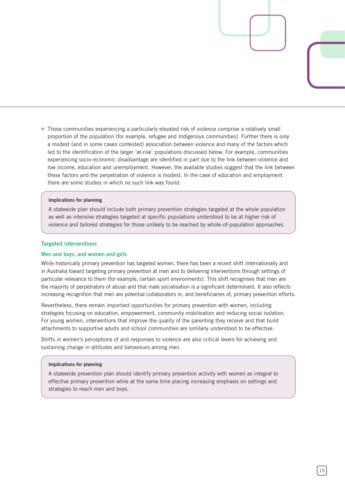● Those communities experiencing a particularly elevated risk of violence comprise a relatively small proportion of the population (for example, refugee and Indigenous communities). Further there is only a modest (and in some cases contested) association between violence and many of the factors which led to the identification of the larger 'at-risk' populations discussed below. For example, communities experiencing socio-economic disadvantage are identified in part due to the link between violence and low income, education and unemployment. However, the available studies suggest that the link between these factors and the perpetration of violence is modest. In the case of education and employment there are some studies in which no such link was found.

### **Implications for planning**

A statewide plan should include both primary prevention strategies targeted at the whole population as well as intensive strategies targeted at specific populations understood to be at higher risk of violence and tailored strategies for those unlikely to be reached by whole-of-population approaches.

### **Targeted interventions**

### **Men and boys, and women and girls**

While historically primary prevention has targeted women, there has been a recent shift internationally and in Australia toward targeting primary prevention at men and to delivering interventions through settings of particular relevance to them (for example, certain sport environments). This shift recognises that men are the majority of perpetrators of abuse and that male socialisation is a significant determinant. It also reflects increasing recognition that men are potential collaborators in, and beneficiaries of, primary prevention efforts.

Nevertheless, there remain important opportunities for primary prevention with women, including strategies focusing on education, empowerment, community mobilisation and reducing social isolation. For young women, interventions that improve the quality of the parenting they receive and that build attachments to supportive adults and school communities are similarly understood to be effective.

Shifts in women's perceptions of and responses to violence are also critical levers for achieving and sustaining change in attitudes and behaviours among men.

### **Implications for planning**

A statewide prevention plan should identify primary prevention activity with women as integral to effective primary prevention while at the same time placing increasing emphasis on settings and strategies to reach men and boys.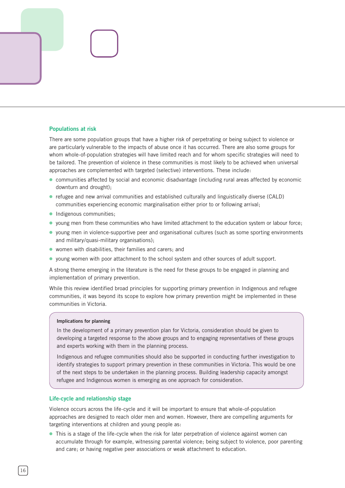### **Populations at risk**

There are some population groups that have a higher risk of perpetrating or being subject to violence or are particularly vulnerable to the impacts of abuse once it has occurred. There are also some groups for whom whole-of-population strategies will have limited reach and for whom specific strategies will need to be tailored. The prevention of violence in these communities is most likely to be achieved when universal approaches are complemented with targeted (selective) interventions. These include:

- communities affected by social and economic disadvantage (including rural areas affected by economic downturn and drought);
- refugee and new arrival communities and established culturally and linguistically diverse (CALD) communities experiencing economic marginalisation either prior to or following arrival;
- Indigenous communities;
- young men from these communities who have limited attachment to the education system or labour force;
- young men in violence-supportive peer and organisational cultures (such as some sporting environments and military/quasi-military organisations);
- women with disabilities, their families and carers; and
- young women with poor attachment to the school system and other sources of adult support.

A strong theme emerging in the literature is the need for these groups to be engaged in planning and implementation of primary prevention.

While this review identified broad principles for supporting primary prevention in Indigenous and refugee communities, it was beyond its scope to explore how primary prevention might be implemented in these communities in Victoria.

### **Implications for planning**

In the development of a primary prevention plan for Victoria, consideration should be given to developing a targeted response to the above groups and to engaging representatives of these groups and experts working with them in the planning process.

Indigenous and refugee communities should also be supported in conducting further investigation to identify strategies to support primary prevention in these communities in Victoria. This would be one of the next steps to be undertaken in the planning process. Building leadership capacity amongst refugee and Indigenous women is emerging as one approach for consideration.

### **Life-cycle and relationship stage**

Violence occurs across the life-cycle and it will be important to ensure that whole-of-population approaches are designed to reach older men and women. However, there are compelling arguments for targeting interventions at children and young people as:

• This is a stage of the life-cycle when the risk for later perpetration of violence against women can accumulate through for example, witnessing parental violence; being subject to violence, poor parenting and care; or having negative peer associations or weak attachment to education.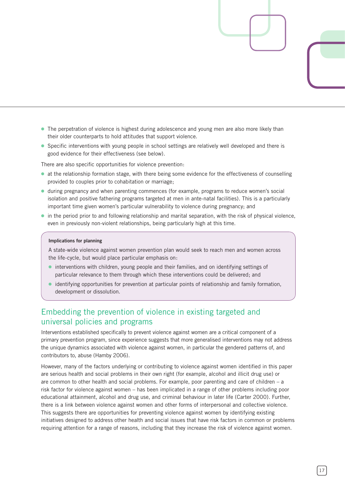- The perpetration of violence is highest during adolescence and young men are also more likely than their older counterparts to hold attitudes that support violence.
- Specific interventions with young people in school settings are relatively well developed and there is good evidence for their effectiveness (see below).

There are also specific opportunities for violence prevention:

- at the relationship formation stage, with there being some evidence for the effectiveness of counselling provided to couples prior to cohabitation or marriage;
- during pregnancy and when parenting commences (for example, programs to reduce women's social isolation and positive fathering programs targeted at men in ante-natal facilities). This is a particularly important time given women's particular vulnerability to violence during pregnancy; and
- in the period prior to and following relationship and marital separation, with the risk of physical violence, even in previously non-violent relationships, being particularly high at this time.

### **Implications for planning**

A state-wide violence against women prevention plan would seek to reach men and women across the life-cycle, but would place particular emphasis on:

- interventions with children, young people and their families, and on identifying settings of particular relevance to them through which these interventions could be delivered; and
- identifying opportunities for prevention at particular points of relationship and family formation, development or dissolution.  $\bullet$

### Embedding the prevention of violence in existing targeted and universal policies and programs

Interventions established specifically to prevent violence against women are a critical component of a primary prevention program, since experience suggests that more generalised interventions may not address the unique dynamics associated with violence against women, in particular the gendered patterns of, and contributors to, abuse (Hamby 2006).

However, many of the factors underlying or contributing to violence against women identified in this paper are serious health and social problems in their own right (for example, alcohol and illicit drug use) or are common to other health and social problems. For example, poor parenting and care of children – a risk factor for violence against women – has been implicated in a range of other problems including poor educational attainment, alcohol and drug use, and criminal behaviour in later life (Carter 2000). Further, there is a link between violence against women and other forms of interpersonal and collective violence. This suggests there are opportunities for preventing violence against women by identifying existing initiatives designed to address other health and social issues that have risk factors in common or problems requiring attention for a range of reasons, including that they increase the risk of violence against women.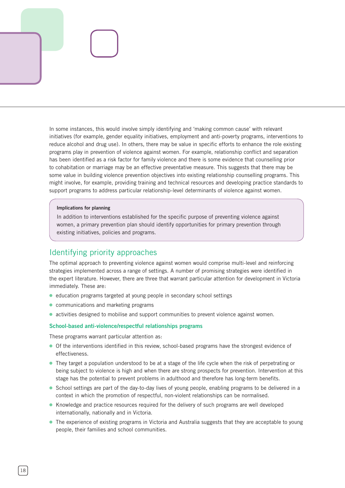In some instances, this would involve simply identifying and 'making common cause' with relevant initiatives (for example, gender equality initiatives, employment and anti-poverty programs, interventions to reduce alcohol and drug use). In others, there may be value in specific efforts to enhance the role existing programs play in prevention of violence against women. For example, relationship conflict and separation has been identified as a risk factor for family violence and there is some evidence that counselling prior to cohabitation or marriage may be an effective preventative measure. This suggests that there may be some value in building violence prevention objectives into existing relationship counselling programs. This might involve, for example, providing training and technical resources and developing practice standards to support programs to address particular relationship-level determinants of violence against women.

### **Implications for planning**

In addition to interventions established for the specific purpose of preventing violence against women, a primary prevention plan should identify opportunities for primary prevention through existing initiatives, policies and programs.

### Identifying priority approaches

The optimal approach to preventing violence against women would comprise multi-level and reinforcing strategies implemented across a range of settings. A number of promising strategies were identified in the expert literature. However, there are three that warrant particular attention for development in Victoria immediately. These are:

- education programs targeted at young people in secondary school settings
- communications and marketing programs
- activities designed to mobilise and support communities to prevent violence against women.

### **School-based anti-violence/respectful relationships programs**

These programs warrant particular attention as:

- Of the interventions identified in this review, school-based programs have the strongest evidence of effectiveness.
- They target a population understood to be at a stage of the life cycle when the risk of perpetrating or being subject to violence is high and when there are strong prospects for prevention. Intervention at this stage has the potential to prevent problems in adulthood and therefore has long-term benefits.
- School settings are part of the day-to-day lives of young people, enabling programs to be delivered in a context in which the promotion of respectful, non-violent relationships can be normalised.
- Knowledge and practice resources required for the delivery of such programs are well developed internationally, nationally and in Victoria.
- The experience of existing programs in Victoria and Australia suggests that they are acceptable to young people, their families and school communities.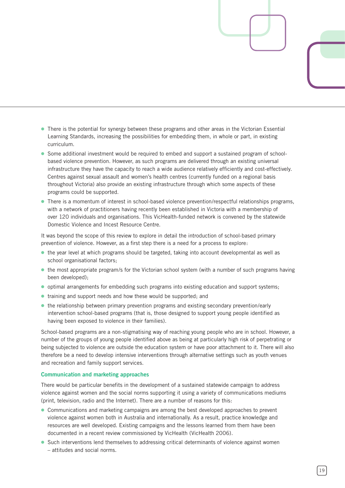- There is the potential for synergy between these programs and other areas in the Victorian Essential Learning Standards, increasing the possibilities for embedding them, in whole or part, in existing curriculum.
- Some additional investment would be required to embed and support a sustained program of schoolbased violence prevention. However, as such programs are delivered through an existing universal infrastructure they have the capacity to reach a wide audience relatively efficiently and cost-effectively. Centres against sexual assault and women's health centres (currently funded on a regional basis throughout Victoria) also provide an existing infrastructure through which some aspects of these programs could be supported.
- There is a momentum of interest in school-based violence prevention/respectful relationships programs, with a network of practitioners having recently been established in Victoria with a membership of over 120 individuals and organisations. This VicHealth-funded network is convened by the statewide Domestic Violence and Incest Resource Centre.

It was beyond the scope of this review to explore in detail the introduction of school-based primary prevention of violence. However, as a first step there is a need for a process to explore:

- the year level at which programs should be targeted, taking into account developmental as well as school organisational factors;
- the most appropriate program/s for the Victorian school system (with a number of such programs having been developed);
- optimal arrangements for embedding such programs into existing education and support systems;
- training and support needs and how these would be supported; and
- the relationship between primary prevention programs and existing secondary prevention/early intervention school-based programs (that is, those designed to support young people identified as having been exposed to violence in their families).

School-based programs are a non-stigmatising way of reaching young people who are in school. However, a number of the groups of young people identified above as being at particularly high risk of perpetrating or being subjected to violence are outside the education system or have poor attachment to it. There will also therefore be a need to develop intensive interventions through alternative settings such as youth venues and recreation and family support services.

### **Communication and marketing approaches**

There would be particular benefits in the development of a sustained statewide campaign to address violence against women and the social norms supporting it using a variety of communications mediums (print, television, radio and the Internet). There are a number of reasons for this:

- Communications and marketing campaigns are among the best developed approaches to prevent violence against women both in Australia and internationally. As a result, practice knowledge and resources are well developed. Existing campaigns and the lessons learned from them have been documented in a recent review commissioned by VicHealth (VicHealth 2006).
- Such interventions lend themselves to addressing critical determinants of violence against women – attitudes and social norms.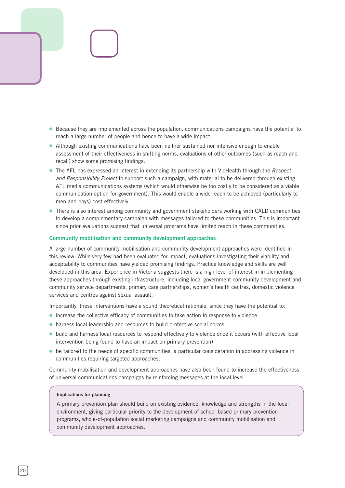- Because they are implemented across the population, communications campaigns have the potential to reach a large number of people and hence to have a wide impact.
- Although existing communications have been neither sustained nor intensive enough to enable assessment of their effectiveness in shifting norms, evaluations of other outcomes (such as reach and recall) show some promising findings.
- The AFL has expressed an interest in extending its partnership with VicHealth through the *Respect and Responsibility Project* to support such a campaign, with material to be delivered through existing AFL media communications systems (which would otherwise be too costly to be considered as a viable communication option for government). This would enable a wide reach to be achieved (particularly to men and boys) cost-effectively.
- There is also interest among community and government stakeholders working with CALD communities to develop a complementary campaign with messages tailored to these communities. This is important since prior evaluations suggest that universal programs have limited reach in these communities.

### **Community mobilisation and community development approaches**

A large number of community mobilisation and community development approaches were identified in this review. While very few had been evaluated for impact, evaluations investigating their viability and acceptability to communities have yielded promising findings. Practice knowledge and skills are well developed in this area. Experience in Victoria suggests there is a high level of interest in implementing these approaches through existing infrastructure, including local government community development and community service departments, primary care partnerships, women's health centres, domestic violence services and centres against sexual assault.

Importantly, these interventions have a sound theoretical rationale, since they have the potential to:

- increase the collective efficacy of communities to take action in response to violence
- harness local leadership and resources to build protective social norms ⓦ
- build and harness local resources to respond effectively to violence once it occurs (with effective local intervention being found to have an impact on primary prevention)
- be tailored to the needs of specific communities, a particular consideration in addressing violence in communities requiring targeted approaches.

Community mobilisation and development approaches have also been found to increase the effectiveness of universal communications campaigns by reinforcing messages at the local level.

### **Implications for planning**

A primary prevention plan should build on existing evidence, knowledge and strengths in the local environment, giving particular priority to the development of school-based primary prevention programs, whole-of-population social marketing campaigns and community mobilisation and community development approaches.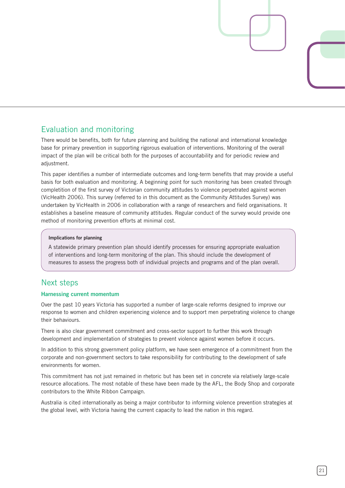### Evaluation and monitoring

There would be benefits, both for future planning and building the national and international knowledge base for primary prevention in supporting rigorous evaluation of interventions. Monitoring of the overall impact of the plan will be critical both for the purposes of accountability and for periodic review and adiustment.

This paper identifies a number of intermediate outcomes and long-term benefits that may provide a useful basis for both evaluation and monitoring. A beginning point for such monitoring has been created through completition of the first survey of Victorian community attitudes to violence perpetrated against women (VicHealth 2006). This survey (referred to in this document as the Community Attitudes Survey) was undertaken by VicHealth in 2006 in collaboration with a range of researchers and field organisations. It establishes a baseline measure of community attitudes. Regular conduct of the survey would provide one method of monitoring prevention efforts at minimal cost.

### **Implications for planning**

A statewide primary prevention plan should identify processes for ensuring appropriate evaluation of interventions and long-term monitoring of the plan. This should include the development of measures to assess the progress both of individual projects and programs and of the plan overall.

### Next steps

### **Harnessing current momentum**

Over the past 10 years Victoria has supported a number of large-scale reforms designed to improve our response to women and children experiencing violence and to support men perpetrating violence to change their behaviours.

There is also clear government commitment and cross-sector support to further this work through development and implementation of strategies to prevent violence against women before it occurs.

In addition to this strong government policy platform, we have seen emergence of a commitment from the corporate and non-government sectors to take responsibility for contributing to the development of safe environments for women.

This commitment has not just remained in rhetoric but has been set in concrete via relatively large-scale resource allocations. The most notable of these have been made by the AFL, the Body Shop and corporate contributors to the White Ribbon Campaign.

Australia is cited internationally as being a major contributor to informing violence prevention strategies at the global level, with Victoria having the current capacity to lead the nation in this regard.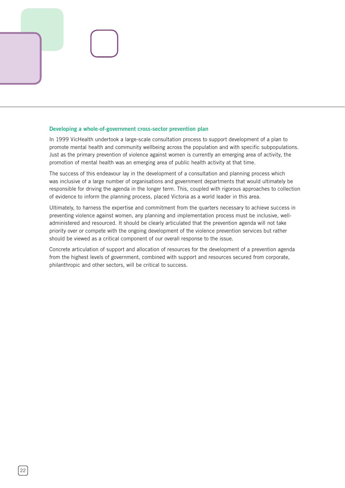### **Developing a whole-of-government cross-sector prevention plan**

In 1999 VicHealth undertook a large-scale consultation process to support development of a plan to promote mental health and community wellbeing across the population and with specific subpopulations. Just as the primary prevention of violence against women is currently an emerging area of activity, the promotion of mental health was an emerging area of public health activity at that time.

The success of this endeavour lay in the development of a consultation and planning process which was inclusive of a large number of organisations and government departments that would ultimately be responsible for driving the agenda in the longer term. This, coupled with rigorous approaches to collection of evidence to inform the planning process, placed Victoria as a world leader in this area.

Ultimately, to harness the expertise and commitment from the quarters necessary to achieve success in preventing violence against women, any planning and implementation process must be inclusive, welladministered and resourced. It should be clearly articulated that the prevention agenda will not take priority over or compete with the ongoing development of the violence prevention services but rather should be viewed as a critical component of our overall response to the issue.

Concrete articulation of support and allocation of resources for the development of a prevention agenda from the highest levels of government, combined with support and resources secured from corporate, philanthropic and other sectors, will be critical to success.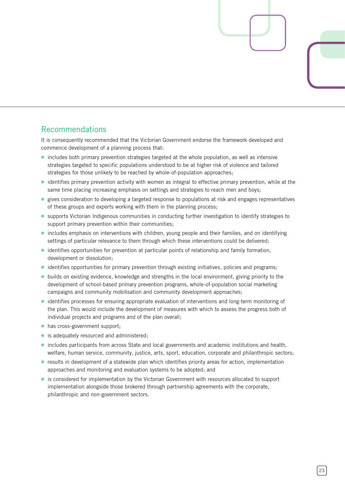### Recommendations

It is consequently recommended that the Victorian Government endorse the framework developed and commence development of a planning process that:

- includes both primary prevention strategies targeted at the whole population, as well as intensive strategies targeted to specific populations understood to be at higher risk of violence and tailored strategies for those unlikely to be reached by whole-of-population approaches;
- identifies primary prevention activity with women as integral to effective primary prevention, while at the same time placing increasing emphasis on settings and strategies to reach men and boys;
- gives consideration to developing a targeted response to populations at risk and engages representatives of these groups and experts working with them in the planning process;
- supports Victorian Indigenous communities in conducting further investigation to identify strategies to support primary prevention within their communities;
- includes emphasis on interventions with children, young people and their families, and on identifying settings of particular relevance to them through which these interventions could be delivered;
- identifies opportunities for prevention at particular points of relationship and family formation, development or dissolution;
- identifies opportunities for primary prevention through existing initiatives, policies and programs;
- builds on existing evidence, knowledge and strengths in the local environment, giving priority to the development of school-based primary prevention programs, whole-of-population social marketing campaigns and community mobilisation and community development approaches;
- identifies processes for ensuring appropriate evaluation of interventions and long-term monitoring of the plan. This would include the development of measures with which to assess the progress both of individual projects and programs and of the plan overall;
- has cross-government support;
- is adequately resourced and administered;
- includes participants from across State and local governments and academic institutions and health, welfare, human service, community, justice, arts, sport, education, corporate and philanthropic sectors;
- results in development of a statewide plan which identifies priority areas for action, implementation approaches and monitoring and evaluation systems to be adopted; and
- is considered for implementation by the Victorian Government with resources allocated to support implementation alongside those brokered through partnership agreements with the corporate, philanthropic and non-government sectors.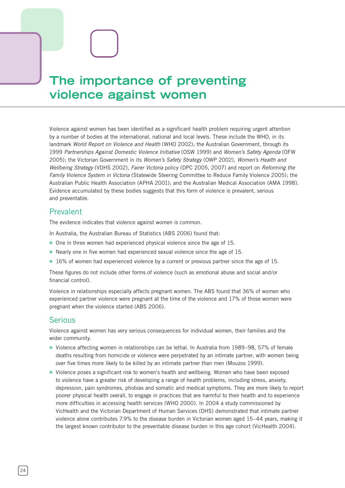# **The importance of preventing violence against women**

Violence against women has been identified as a significant health problem requiring urgent attention by a number of bodies at the international, national and local levels. These include the WHO, in its landmark *World Report on Violence and Health* (WHO 2002); the Australian Government, through its 1999 *Partnerships Against Domestic Violence Initiative* (OSW 1999) and *Women's Safety Agenda* (OFW 2005); the Victorian Government in its *Women's Safety Strategy* (OWP 2002), *Women's Health and Wellbeing Strategy* (VDHS 2002), *Fairer Victoria* policy (DPC 2005, 2007) and report on *Reforming the Family Violence System in Victoria* (Statewide Steering Committee to Reduce Family Violence 2005); the Australian Public Health Association (APHA 2001); and the Australian Medical Association (AMA 1998). Evidence accumulated by these bodies suggests that this form of violence is prevalent, serious and preventable.

### Prevalent

The evidence indicates that violence against women is common.

- In Australia, the Australian Bureau of Statistics (ABS 2006) found that:
- One in three women had experienced physical violence since the age of 15.
- Nearly one in five women had experienced sexual violence since the age of 15.
- 16% of women had experienced violence by a current or previous partner since the age of 15.

These figures do not include other forms of violence (such as emotional abuse and social and/or financial control).

Violence in relationships especially affects pregnant women. The ABS found that 36% of women who experienced partner violence were pregnant at the time of the violence and 17% of those women were pregnant when the violence started (ABS 2006).

### Serious

Violence against women has very serious consequences for individual women, their families and the wider community.

- Violence affecting women in relationships can be lethal. In Australia from 1989–98, 57% of female deaths resulting from homicide or violence were perpetrated by an intimate partner, with women being over five times more likely to be killed by an intimate partner than men (Mouzos 1999).
- Violence poses a significant risk to women's health and wellbeing. Women who have been exposed to violence have a greater risk of developing a range of health problems, including stress, anxiety, depression, pain syndromes, phobias and somatic and medical symptoms. They are more likely to report poorer physical health overall, to engage in practices that are harmful to their health and to experience more difficulties in accessing health services (WHO 2000). In 2004 a study commissioned by VicHealth and the Victorian Department of Human Services (DHS) demonstrated that intimate partner violence alone contributes 7.9% to the disease burden in Victorian women aged 15–44 years, making it the largest known contributor to the preventable disease burden in this age cohort (VicHealth 2004).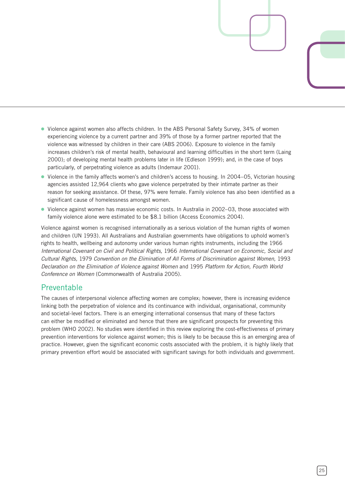- Violence against women also affects children. In the ABS Personal Safety Survey, 34% of women experiencing violence by a current partner and 39% of those by a former partner reported that the violence was witnessed by children in their care (ABS 2006). Exposure to violence in the family increases children's risk of mental health, behavioural and learning difficulties in the short term (Laing 2000); of developing mental health problems later in life (Edleson 1999); and, in the case of boys particularly, of perpetrating violence as adults (Indemaur 2001).
- Violence in the family affects women's and children's access to housing. In 2004–05, Victorian housing agencies assisted 12,964 clients who gave violence perpetrated by their intimate partner as their reason for seeking assistance. Of these, 97% were female. Family violence has also been identified as a significant cause of homelessness amongst women.
- Violence against women has massive economic costs. In Australia in 2002–03, those associated with family violence alone were estimated to be \$8.1 billion (Access Economics 2004).

Violence against women is recognised internationally as a serious violation of the human rights of women and children (UN 1993). All Australians and Australian governments have obligations to uphold women's rights to health, wellbeing and autonomy under various human rights instruments, including the 1966 *International Covenant on Civil and Political Rights,* 1966 *International Covenant on Economic, Social and Cultural Rights,* 1979 *Convention on the Elimination of All Forms of Discrimination against Women,* 1993 *Declaration on the Elimination of Violence against Women* and 1995 *Platform for Action, Fourth World Conference on Women* (Commonwealth of Australia 2005).

### Preventable

The causes of interpersonal violence affecting women are complex; however, there is increasing evidence linking both the perpetration of violence and its continuance with individual, organisational, community and societal-level factors. There is an emerging international consensus that many of these factors can either be modified or eliminated and hence that there are significant prospects for preventing this problem (WHO 2002). No studies were identified in this review exploring the cost-effectiveness of primary prevention interventions for violence against women; this is likely to be because this is an emerging area of practice. However, given the significant economic costs associated with the problem, it is highly likely that primary prevention effort would be associated with significant savings for both individuals and government.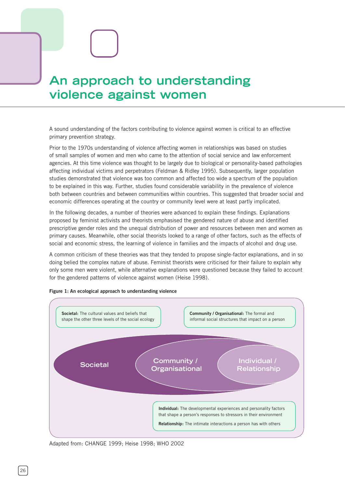# **An approach to understanding violence against women**

A sound understanding of the factors contributing to violence against women is critical to an effective primary prevention strategy.

Prior to the 1970s understanding of violence affecting women in relationships was based on studies of small samples of women and men who came to the attention of social service and law enforcement agencies. At this time violence was thought to be largely due to biological or personality-based pathologies affecting individual victims and perpetrators (Feldman & Ridley 1995). Subsequently, larger population studies demonstrated that violence was too common and affected too wide a spectrum of the population to be explained in this way. Further, studies found considerable variability in the prevalence of violence both between countries and between communities within countries. This suggested that broader social and economic differences operating at the country or community level were at least partly implicated.

In the following decades, a number of theories were advanced to explain these findings. Explanations proposed by feminist activists and theorists emphasised the gendered nature of abuse and identified prescriptive gender roles and the unequal distribution of power and resources between men and women as primary causes. Meanwhile, other social theorists looked to a range of other factors, such as the effects of social and economic stress, the learning of violence in families and the impacts of alcohol and drug use.

A common criticism of these theories was that they tended to propose single-factor explanations, and in so doing belied the complex nature of abuse. Feminist theorists were criticised for their failure to explain why only some men were violent, while alternative explanations were questioned because they failed to account for the gendered patterns of violence against women (Heise 1998).



**Figure 1: An ecological approach to understanding violence** 

Adapted from: CHANGE 1999; Heise 1998; WHO 2002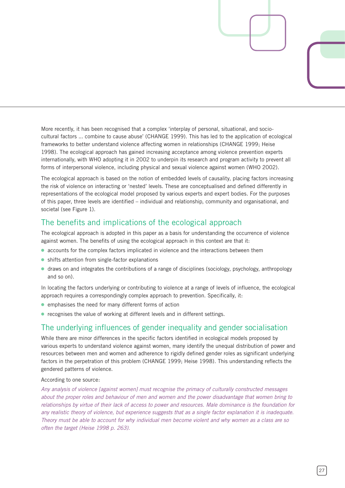More recently, it has been recognised that a complex 'interplay of personal, situational, and sociocultural factors ... combine to cause abuse' (CHANGE 1999). This has led to the application of ecological frameworks to better understand violence affecting women in relationships (CHANGE 1999; Heise 1998). The ecological approach has gained increasing acceptance among violence prevention experts internationally, with WHO adopting it in 2002 to underpin its research and program activity to prevent all forms of interpersonal violence, including physical and sexual violence against women (WHO 2002).

The ecological approach is based on the notion of embedded levels of causality, placing factors increasing the risk of violence on interacting or 'nested' levels. These are conceptualised and defined differently in representations of the ecological model proposed by various experts and expert bodies. For the purposes of this paper, three levels are identified – individual and relationship, community and organisational, and societal (see Figure 1).

### The benefits and implications of the ecological approach

The ecological approach is adopted in this paper as a basis for understanding the occurrence of violence against women. The benefits of using the ecological approach in this context are that it:

- accounts for the complex factors implicated in violence and the interactions between them
- shifts attention from single-factor explanations
- draws on and integrates the contributions of a range of disciplines (sociology, psychology, anthropology and so on).

In locating the factors underlying or contributing to violence at a range of levels of influence, the ecological approach requires a correspondingly complex approach to prevention. Specifically, it:

- emphasises the need for many different forms of action
- recognises the value of working at different levels and in different settings.

### The underlying influences of gender inequality and gender socialisation

While there are minor differences in the specific factors identified in ecological models proposed by various experts to understand violence against women, many identify the unequal distribution of power and resources between men and women and adherence to rigidly defined gender roles as significant underlying factors in the perpetration of this problem (CHANGE 1999; Heise 1998). This understanding reflects the gendered patterns of violence.

### According to one source:

*Any analysis of violence [against women] must recognise the primacy of culturally constructed messages about the proper roles and behaviour of men and women and the power disadvantage that women bring to relationships by virtue of their lack of access to power and resources. Male dominance is the foundation for any realistic theory of violence, but experience suggests that as a single factor explanation it is inadequate. Theory must be able to account for why individual men become violent and why women as a class are so often the target (Heise 1998 p. 263).*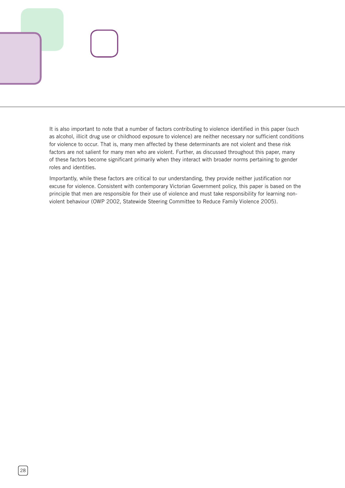It is also important to note that a number of factors contributing to violence identified in this paper (such as alcohol, illicit drug use or childhood exposure to violence) are neither necessary nor sufficient conditions for violence to occur. That is, many men affected by these determinants are not violent and these risk factors are not salient for many men who are violent. Further, as discussed throughout this paper, many of these factors become significant primarily when they interact with broader norms pertaining to gender roles and identities.

Importantly, while these factors are critical to our understanding, they provide neither justification nor excuse for violence. Consistent with contemporary Victorian Government policy, this paper is based on the principle that men are responsible for their use of violence and must take responsibility for learning nonviolent behaviour (OWP 2002, Statewide Steering Committee to Reduce Family Violence 2005).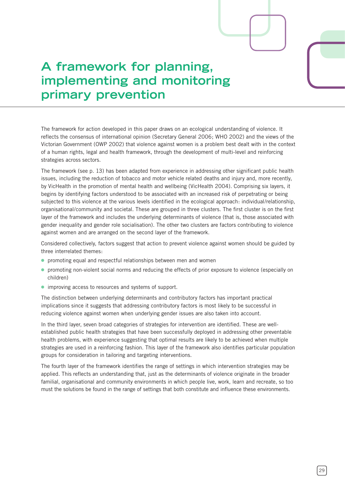# **A framework for planning, implementing and monitoring primary prevention**

The framework for action developed in this paper draws on an ecological understanding of violence. It reflects the consensus of international opinion (Secretary General 2006; WHO 2002) and the views of the Victorian Government (OWP 2002) that violence against women is a problem best dealt with in the context of a human rights, legal and health framework, through the development of multi-level and reinforcing strategies across sectors.

The framework (see p. 13) has been adapted from experience in addressing other significant public health issues, including the reduction of tobacco and motor vehicle related deaths and injury and, more recently, by VicHealth in the promotion of mental health and wellbeing (VicHealth 2004). Comprising six layers, it begins by identifying factors understood to be associated with an increased risk of perpetrating or being subjected to this violence at the various levels identified in the ecological approach: individual/relationship, organisational/community and societal. These are grouped in three clusters. The first cluster is on the first layer of the framework and includes the underlying determinants of violence (that is, those associated with gender inequality and gender role socialisation). The other two clusters are factors contributing to violence against women and are arranged on the second layer of the framework.

Considered collectively, factors suggest that action to prevent violence against women should be guided by three interrelated themes:

- promoting equal and respectful relationships between men and women
- promoting non-violent social norms and reducing the effects of prior exposure to violence (especially on children)
- improving access to resources and systems of support.

The distinction between underlying determinants and contributory factors has important practical implications since it suggests that addressing contributory factors is most likely to be successful in reducing violence against women when underlying gender issues are also taken into account.

In the third layer, seven broad categories of strategies for intervention are identified. These are wellestablished public health strategies that have been successfully deployed in addressing other preventable health problems, with experience suggesting that optimal results are likely to be achieved when multiple strategies are used in a reinforcing fashion. This layer of the framework also identifies particular population groups for consideration in tailoring and targeting interventions.

The fourth layer of the framework identifies the range of settings in which intervention strategies may be applied. This reflects an understanding that, just as the determinants of violence originate in the broader familial, organisational and community environments in which people live, work, learn and recreate, so too must the solutions be found in the range of settings that both constitute and influence these environments.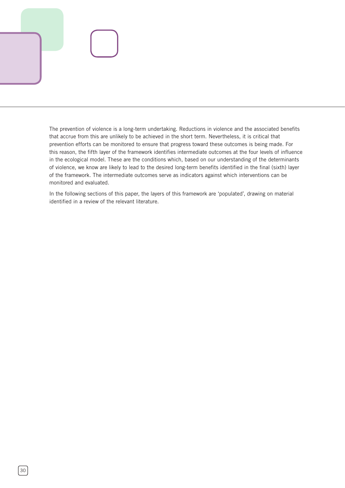The prevention of violence is a long-term undertaking. Reductions in violence and the associated benefits that accrue from this are unlikely to be achieved in the short term. Nevertheless, it is critical that prevention efforts can be monitored to ensure that progress toward these outcomes is being made. For this reason, the fifth layer of the framework identifies intermediate outcomes at the four levels of influence in the ecological model. These are the conditions which, based on our understanding of the determinants of violence, we know are likely to lead to the desired long-term benefits identified in the final (sixth) layer of the framework. The intermediate outcomes serve as indicators against which interventions can be monitored and evaluated.

In the following sections of this paper, the layers of this framework are 'populated', drawing on material identified in a review of the relevant literature.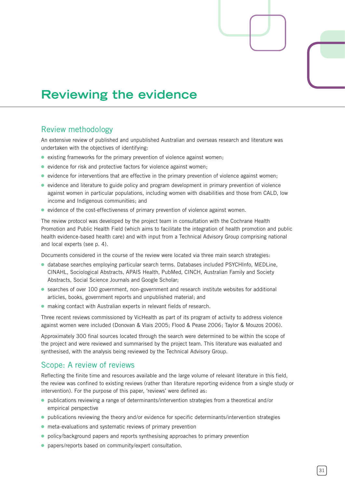# **Reviewing the evidence**

### Review methodology

An extensive review of published and unpublished Australian and overseas research and literature was undertaken with the objectives of identifying:

- existing frameworks for the primary prevention of violence against women;
- evidence for risk and protective factors for violence against women;
- $\bullet$  evidence for interventions that are effective in the primary prevention of violence against women;
- evidence and literature to guide policy and program development in primary prevention of violence against women in particular populations, including women with disabilities and those from CALD, low income and Indigenous communities; and
- evidence of the cost-effectiveness of primary prevention of violence against women.

The review protocol was developed by the project team in consultation with the Cochrane Health Promotion and Public Health Field (which aims to facilitate the integration of health promotion and public health evidence-based health care) and with input from a Technical Advisory Group comprising national and local experts (see p. 4).

Documents considered in the course of the review were located via three main search strategies:

- **database searches employing particular search terms. Databases included PSYCHInfo, MEDLine,** CINAHL, Sociological Abstracts, APAIS Health, PubMed, CINCH, Australian Family and Society Abstracts, Social Science Journals and Google Scholar;
- searches of over 100 government, non-government and research institute websites for additional articles, books, government reports and unpublished material; and
- making contact with Australian experts in relevant fields of research.

Three recent reviews commissioned by VicHealth as part of its program of activity to address violence against women were included (Donovan & Vlais 2005; Flood & Pease 2006; Taylor & Mouzos 2006).

Approximately 300 final sources located through the search were determined to be within the scope of the project and were reviewed and summarised by the project team. This literature was evaluated and synthesised, with the analysis being reviewed by the Technical Advisory Group.

### Scope: A review of reviews

Reflecting the finite time and resources available and the large volume of relevant literature in this field, the review was confined to existing reviews (rather than literature reporting evidence from a single study or intervention). For the purpose of this paper, 'reviews' were defined as:

- publications reviewing a range of determinants/intervention strategies from a theoretical and/or empirical perspective
- publications reviewing the theory and/or evidence for specific determinants/intervention strategies
- meta-evaluations and systematic reviews of primary prevention
- policy/background papers and reports synthesising approaches to primary prevention
- papers/reports based on community/expert consultation. ⓦ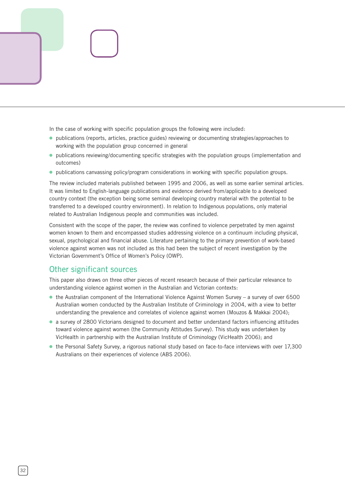In the case of working with specific population groups the following were included:

- publications (reports, articles, practice guides) reviewing or documenting strategies/approaches to working with the population group concerned in general
- publications reviewing/documenting specific strategies with the population groups (implementation and outcomes)
- publications canvassing policy/program considerations in working with specific population groups.

The review included materials published between 1995 and 2006, as well as some earlier seminal articles. It was limited to English-language publications and evidence derived from/applicable to a developed country context (the exception being some seminal developing country material with the potential to be transferred to a developed country environment). In relation to Indigenous populations, only material related to Australian Indigenous people and communities was included.

Consistent with the scope of the paper, the review was confined to violence perpetrated by men against women known to them and encompassed studies addressing violence on a continuum including physical, sexual, psychological and financial abuse. Literature pertaining to the primary prevention of work-based violence against women was not included as this had been the subject of recent investigation by the Victorian Government's Office of Women's Policy (OWP).

### Other significant sources

This paper also draws on three other pieces of recent research because of their particular relevance to understanding violence against women in the Australian and Victorian contexts:

- the Australian component of the International Violence Against Women Survey a survey of over 6500 Australian women conducted by the Australian Institute of Criminology in 2004, with a view to better understanding the prevalence and correlates of violence against women (Mouzos & Makkai 2004);
- a survey of 2800 Victorians designed to document and better understand factors influencing attitudes toward violence against women (the Community Attitudes Survey). This study was undertaken by VicHealth in partnership with the Australian Institute of Criminology (VicHealth 2006); and
- the Personal Safety Survey, a rigorous national study based on face-to-face interviews with over 17,300 Australians on their experiences of violence (ABS 2006).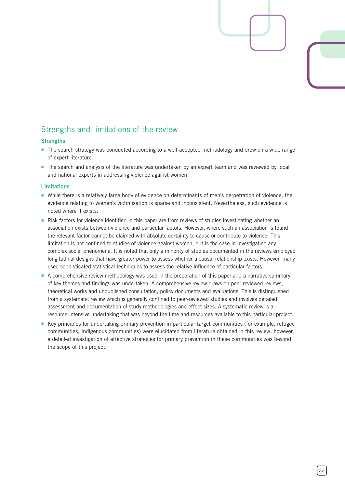### Strengths and limitations of the review

### **Strengths**

- The search strategy was conducted according to a well-accepted methodology and drew on a wide range of expert literature.
- The search and analysis of the literature was undertaken by an expert team and was reviewed by local and national experts in addressing violence against women.

### **Limitations**

- While there is a relatively large body of evidence on determinants of men's perpetration of violence, the evidence relating to women's victimisation is sparse and inconsistent. Nevertheless, such evidence is noted where it exists.
- Risk factors for violence identified in this paper are from reviews of studies investigating whether an association exists between violence and particular factors. However, where such an association is found the relevant factor cannot be claimed with absolute certainty to cause or contribute to violence. This limitation is not confined to studies of violence against women, but is the case in investigating any complex social phenomena. It is noted that only a minority of studies documented in the reviews employed longitudinal designs that have greater power to assess whether a causal relationship exists. However, many used sophisticated statistical techniques to assess the relative influence of particular factors.
- A comprehensive review methodology was used in the preparation of this paper and a narrative summary of key themes and findings was undertaken. A comprehensive review draws on peer-reviewed reviews, theoretical works and unpublished consultation, policy documents and evaluations. This is distinguished from a systematic review which is generally confined to peer-reviewed studies and involves detailed assessment and documentation of study methodologies and effect sizes. A systematic review is a resource-intensive undertaking that was beyond the time and resources available to this particular project.
- Key principles for undertaking primary prevention in particular target communities (for example, refugee communities, Indigenous communities) were elucidated from literature obtained in this review; however, a detailed investigation of effective strategies for primary prevention in these communities was beyond the scope of this project.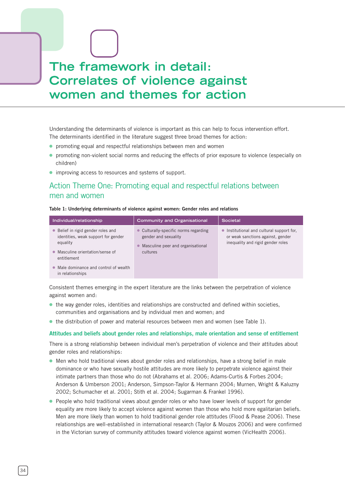# **The framework in detail: Correlates of violence against women and themes for action**

Understanding the determinants of violence is important as this can help to focus intervention effort. The determinants identified in the literature suggest three broad themes for action:

- promoting equal and respectful relationships between men and women
- promoting non-violent social norms and reducing the effects of prior exposure to violence (especially on children)
- improving access to resources and systems of support.

### Action Theme One: Promoting equal and respectful relations between men and women

### **Table 1: Underlying determinants of violence against women: Gender roles and relations**

| Individual/relationship                                                               | <b>Community and Organisational</b>                                                                             | Societal                                                                                                            |
|---------------------------------------------------------------------------------------|-----------------------------------------------------------------------------------------------------------------|---------------------------------------------------------------------------------------------------------------------|
| • Belief in rigid gender roles and<br>identities, weak support for gender<br>equality | • Culturally-specific norms regarding<br>gender and sexuality<br>Masculine peer and organisational<br>$\bullet$ | • Institutional and cultural support for,<br>or weak sanctions against, gender<br>inequality and rigid gender roles |
| • Masculine orientation/sense of<br>entitlement                                       | cultures                                                                                                        |                                                                                                                     |
| • Male dominance and control of wealth<br>in relationships                            |                                                                                                                 |                                                                                                                     |

Consistent themes emerging in the expert literature are the links between the perpetration of violence against women and:

- the way gender roles, identities and relationships are constructed and defined within societies, communities and organisations and by individual men and women; and
- the distribution of power and material resources between men and women (see Table 1).

### **Attitudes and beliefs about gender roles and relationships, male orientation and sense of entitlement**

There is a strong relationship between individual men's perpetration of violence and their attitudes about gender roles and relationships:

- Men who hold traditional views about gender roles and relationships, have a strong belief in male dominance or who have sexually hostile attitudes are more likely to perpetrate violence against their intimate partners than those who do not (Abrahams et al. 2006; Adams-Curtis & Forbes 2004; Anderson & Umberson 2001; Anderson, Simpson-Taylor & Hermann 2004; Murnen, Wright & Kaluzny 2002; Schumacher et al. 2001; Stith et al. 2004; Sugarman & Frankel 1996).
- People who hold traditional views about gender roles or who have lower levels of support for gender equality are more likely to accept violence against women than those who hold more egalitarian beliefs. Men are more likely than women to hold traditional gender role attitudes (Flood & Pease 2006). These relationships are well-established in international research (Taylor & Mouzos 2006) and were confirmed in the Victorian survey of community attitudes toward violence against women (VicHealth 2006).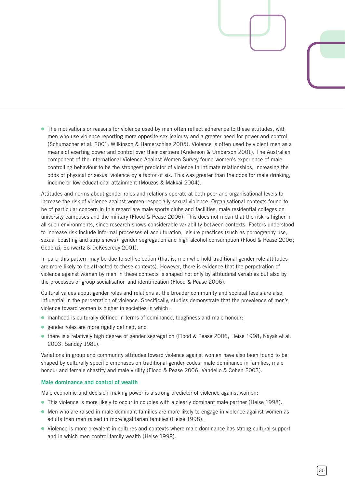● The motivations or reasons for violence used by men often reflect adherence to these attitudes, with men who use violence reporting more opposite-sex jealousy and a greater need for power and control (Schumacher et al. 2001; Wilkinson & Hamerschlag 2005). Violence is often used by violent men as a means of exerting power and control over their partners (Anderson & Umberson 2001). The Australian component of the International Violence Against Women Survey found women's experience of male controlling behaviour to be the strongest predictor of violence in intimate relationships, increasing the odds of physical or sexual violence by a factor of six. This was greater than the odds for male drinking, income or low educational attainment (Mouzos & Makkai 2004).

Attitudes and norms about gender roles and relations operate at both peer and organisational levels to increase the risk of violence against women, especially sexual violence. Organisational contexts found to be of particular concern in this regard are male sports clubs and facilities, male residential colleges on university campuses and the military (Flood & Pease 2006). This does not mean that the risk is higher in all such environments, since research shows considerable variability between contexts. Factors understood to increase risk include informal processes of acculturation, leisure practices (such as pornography use, sexual boasting and strip shows), gender segregation and high alcohol consumption (Flood & Pease 2006; Godenzi, Schwartz & DeKeseredy 2001).

In part, this pattern may be due to self-selection (that is, men who hold traditional gender role attitudes are more likely to be attracted to these contexts). However, there is evidence that the perpetration of violence against women by men in these contexts is shaped not only by attitudinal variables but also by the processes of group socialisation and identification (Flood & Pease 2006).

Cultural values about gender roles and relations at the broader community and societal levels are also influential in the perpetration of violence. Specifically, studies demonstrate that the prevalence of men's violence toward women is higher in societies in which:

- manhood is culturally defined in terms of dominance, toughness and male honour;
- gender roles are more rigidly defined; and
- there is a relatively high degree of gender segregation (Flood & Pease 2006; Heise 1998; Nayak et al. 2003; Sanday 1981).

Variations in group and community attitudes toward violence against women have also been found to be shaped by culturally specific emphases on traditional gender codes, male dominance in families, male honour and female chastity and male virility (Flood & Pease 2006; Vandello & Cohen 2003).

#### **Male dominance and control of wealth**

Male economic and decision-making power is a strong predictor of violence against women:

- This violence is more likely to occur in couples with a clearly dominant male partner (Heise 1998).
- Men who are raised in male dominant families are more likely to engage in violence against women as adults than men raised in more egalitarian families (Heise 1998).
- Violence is more prevalent in cultures and contexts where male dominance has strong cultural support and in which men control family wealth (Heise 1998).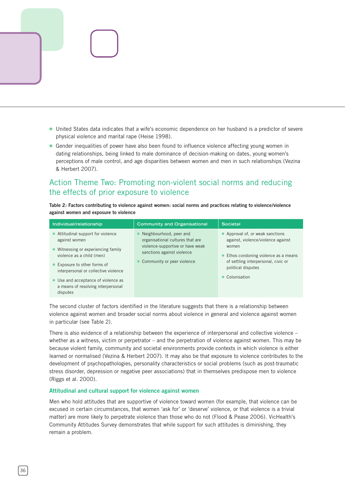

● Gender inequalities of power have also been found to influence violence affecting young women in dating relationships, being linked to male dominance of decision-making on dates, young women's perceptions of male control, and age disparities between women and men in such relationships (Vezina & Herbert 2007).

# Action Theme Two: Promoting non-violent social norms and reducing the effects of prior exposure to violence

**Table 2: Factors contributing to violence against women: social norms and practices relating to violence/violence against women and exposure to violence**

| Individual/relationship                                                               | <b>Community and Organisational</b>                            | Societal                                                             |
|---------------------------------------------------------------------------------------|----------------------------------------------------------------|----------------------------------------------------------------------|
| • Attitudinal support for violence<br>against women                                   | Neighbourhood, peer and<br>organisational cultures that are    | Approval of, or weak sanctions<br>against, violence/violence against |
| Witnessing or experiencing family<br>violence as a child (men)                        | violence-supportive or have weak<br>sanctions against violence | women<br>Ethos condoning violence as a means                         |
| • Exposure to other forms of<br>interpersonal or collective violence                  | Community or peer violence                                     | of settling interpersonal, civic or<br>political disputes            |
| • Use and acceptance of violence as<br>a means of resolving interpersonal<br>disputes |                                                                | Colonisation                                                         |

The second cluster of factors identified in the literature suggests that there is a relationship between violence against women and broader social norms about violence in general and violence against women in particular (see Table 2).

There is also evidence of a relationship between the experience of interpersonal and collective violence – whether as a witness, victim or perpetrator – and the perpetration of violence against women. This may be because violent family, community and societal environments provide contexts in which violence is either learned or normalised (Vezina & Herbert 2007). It may also be that exposure to violence contributes to the development of psychopathologies, personality characteristics or social problems (such as post-traumatic stress disorder, depression or negative peer associations) that in themselves predispose men to violence (Riggs et al. 2000).

#### **Attitudinal and cultural support for violence against women**

Men who hold attitudes that are supportive of violence toward women (for example, that violence can be excused in certain circumstances, that women 'ask for' or 'deserve' violence, or that violence is a trivial matter) are more likely to perpetrate violence than those who do not (Flood & Pease 2006). VicHealth's Community Attitudes Survey demonstrates that while support for such attitudes is diminishing, they remain a problem.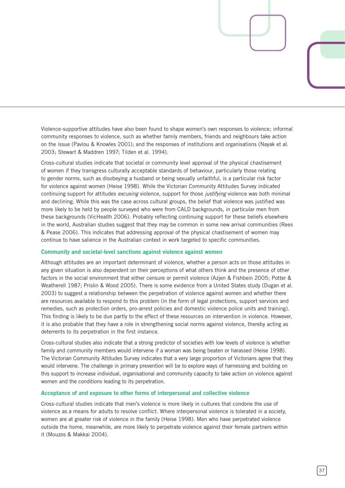Violence-supportive attitudes have also been found to shape women's own responses to violence; informal community responses to violence, such as whether family members, friends and neighbours take action on the issue (Pavlou & Knowles 2001); and the responses of institutions and organisations (Nayak et al. 2003; Stewart & Maddren 1997; Tilden et al. 1994).

Cross-cultural studies indicate that societal or community level approval of the physical chastisement of women if they transgress culturally acceptable standards of behaviour, particularly those relating to gender norms, such as disobeying a husband or being sexually unfaithful, is a particular risk factor for violence against women (Heise 1998). While the Victorian Community Attitudes Survey indicated continuing support for attitudes *excusing* violence, support for those *justifying* violence was both minimal and declining. While this was the case across cultural groups, the belief that violence was justified was more likely to be held by people surveyed who were from CALD backgrounds, in particular men from these backgrounds (VicHealth 2006). Probably reflecting continuing support for these beliefs elsewhere in the world, Australian studies suggest that they may be common in some new arrival communities (Rees & Pease 2006). This indicates that addressing approval of the physical chastisement of women may continue to have salience in the Australian context in work targeted to specific communities.

#### **Community and societal-level sanctions against violence against women**

Although attitudes are an important determinant of violence, whether a person acts on those attitudes in any given situation is also dependent on their perceptions of what others think and the presence of other factors in the social environment that either censure or permit violence (Azjen & Fishbein 2005; Potter & Weatherell 1987; Prislin & Wood 2005). There is some evidence from a United States study (Dugan et al. 2003) to suggest a relationship between the perpetration of violence against women and whether there are resources available to respond to this problem (in the form of legal protections, support services and remedies, such as protection orders, pro-arrest policies and domestic violence police units and training). This finding is likely to be due partly to the effect of these resources on intervention in violence. However, it is also probable that they have a role in strengthening social norms against violence, thereby acting as deterrents to its perpetration in the first instance.

Cross-cultural studies also indicate that a strong predictor of societies with low levels of violence is whether family and community members would intervene if a woman was being beaten or harassed (Heise 1998). The Victorian Community Attitudes Survey indicates that a very large proportion of Victorians agree that they would intervene. The challenge in primary prevention will be to explore ways of harnessing and building on this support to increase individual, organisational and community capacity to take action on violence against women and the conditions leading to its perpetration.

#### **Acceptance of and exposure to other forms of interpersonal and collective violence**

Cross-cultural studies indicate that men's violence is more likely in cultures that condone the use of violence as a means for adults to resolve conflict. Where interpersonal violence is tolerated in a society, women are at greater risk of violence in the family (Heise 1998). Men who have perpetrated violence outside the home, meanwhile, are more likely to perpetrate violence against their female partners within it (Mouzos & Makkai 2004).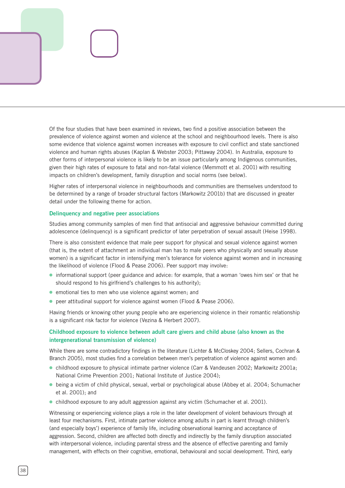Of the four studies that have been examined in reviews, two find a positive association between the prevalence of violence against women and violence at the school and neighbourhood levels. There is also some evidence that violence against women increases with exposure to civil conflict and state sanctioned violence and human rights abuses (Kaplan & Webster 2003; Pittaway 2004). In Australia, exposure to other forms of interpersonal violence is likely to be an issue particularly among Indigenous communities, given their high rates of exposure to fatal and non-fatal violence (Memmott et al. 2001) with resulting impacts on children's development, family disruption and social norms (see below).

Higher rates of interpersonal violence in neighbourhoods and communities are themselves understood to be determined by a range of broader structural factors (Markowitz 2001b) that are discussed in greater detail under the following theme for action.

#### **Delinquency and negative peer associations**

Studies among community samples of men find that antisocial and aggressive behaviour committed during adolescence (delinquency) is a significant predictor of later perpetration of sexual assault (Heise 1998).

There is also consistent evidence that male peer support for physical and sexual violence against women (that is, the extent of attachment an individual man has to male peers who physically and sexually abuse women) is a significant factor in intensifying men's tolerance for violence against women and in increasing the likelihood of violence (Flood & Pease 2006). Peer support may involve:

- informational support (peer guidance and advice: for example, that a woman 'owes him sex' or that he should respond to his girlfriend's challenges to his authority);
- emotional ties to men who use violence against women; and
- peer attitudinal support for violence against women (Flood & Pease 2006).

Having friends or knowing other young people who are experiencing violence in their romantic relationship is a significant risk factor for violence (Vezina & Herbert 2007).

### **Childhood exposure to violence between adult care givers and child abuse (also known as the intergenerational transmission of violence)**

While there are some contradictory findings in the literature (Lichter & McCloskey 2004; Sellers, Cochran & Branch 2005), most studies find a correlation between men's perpetration of violence against women and:

- childhood exposure to physical intimate partner violence (Carr & Vandeusen 2002; Markowitz 2001a; National Crime Prevention 2001; National Institute of Justice 2004);
- being a victim of child physical, sexual, verbal or psychological abuse (Abbey et al. 2004; Schumacher et al. 2001); and
- childhood exposure to any adult aggression against any victim (Schumacher et al. 2001).

Witnessing or experiencing violence plays a role in the later development of violent behaviours through at least four mechanisms. First, intimate partner violence among adults in part is learnt through children's (and especially boys') experience of family life, including observational learning and acceptance of aggression. Second, children are affected both directly and indirectly by the family disruption associated with interpersonal violence, including parental stress and the absence of effective parenting and family management, with effects on their cognitive, emotional, behavioural and social development. Third, early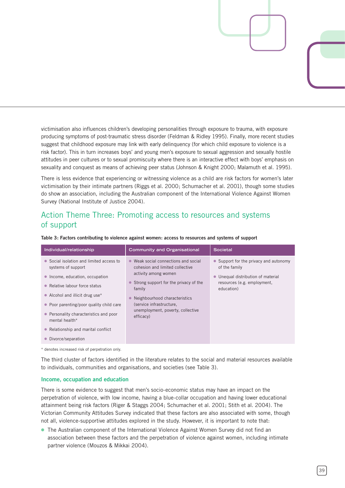victimisation also influences children's developing personalities through exposure to trauma, with exposure producing symptoms of post-traumatic stress disorder (Feldman & Ridley 1995). Finally, more recent studies suggest that childhood exposure may link with early delinquency (for which child exposure to violence is a risk factor). This in turn increases boys' and young men's exposure to sexual aggression and sexually hostile attitudes in peer cultures or to sexual promiscuity where there is an interactive effect with boys' emphasis on sexuality and conquest as means of achieving peer status (Johnson & Knight 2000; Malamuth et al. 1995).

There is less evidence that experiencing or witnessing violence as a child are risk factors for women's later victimisation by their intimate partners (Riggs et al. 2000; Schumacher et al. 2001), though some studies do show an association, including the Australian component of the International Violence Against Women Survey (National Institute of Justice 2004).

# Action Theme Three: Promoting access to resources and systems of support

| Individual/relationship                                                                                                                                                                                                                                                                                                                                         | <b>Community and Organisational</b>                                                                                                                                                                                                                                 | <b>Societal</b>                                                                                                                                       |
|-----------------------------------------------------------------------------------------------------------------------------------------------------------------------------------------------------------------------------------------------------------------------------------------------------------------------------------------------------------------|---------------------------------------------------------------------------------------------------------------------------------------------------------------------------------------------------------------------------------------------------------------------|-------------------------------------------------------------------------------------------------------------------------------------------------------|
| Social isolation and limited access to<br>$\bullet$<br>systems of support<br>Income, education, occupation<br>$\bullet$<br>Relative labour force status<br>• Alcohol and illicit drug use*<br>Poor parenting/poor quality child care<br>$\bullet$<br>Personality characteristics and poor<br>$\bullet$<br>mental health*<br>• Relationship and marital conflict | • Weak social connections and social<br>cohesion and limited collective<br>activity among women<br>• Strong support for the privacy of the<br>family<br>Neighbourhood characteristics<br>(service infrastructure,<br>unemployment, poverty, collective<br>efficacy) | • Support for the privacy and autonomy<br>of the family<br>Unequal distribution of material<br>$\bullet$<br>resources (e.g. employment,<br>education) |
| Divorce/separation                                                                                                                                                                                                                                                                                                                                              |                                                                                                                                                                                                                                                                     |                                                                                                                                                       |

**Table 3: Factors contributing to violence against women: access to resources and systems of support**

\* denotes increased risk of perpetration only.

The third cluster of factors identified in the literature relates to the social and material resources available to individuals, communities and organisations, and societies (see Table 3).

#### **Income, occupation and education**

There is some evidence to suggest that men's socio-economic status may have an impact on the perpetration of violence, with low income, having a blue-collar occupation and having lower educational attainment being risk factors (Riger & Staggs 2004; Schumacher et al. 2001; Stith et al. 2004). The Victorian Community Attitudes Survey indicated that these factors are also associated with some, though not all, violence-supportive attitudes explored in the study. However, it is important to note that:

● The Australian component of the International Violence Against Women Survey did not find an association between these factors and the perpetration of violence against women, including intimate partner violence (Mouzos & Mikkai 2004).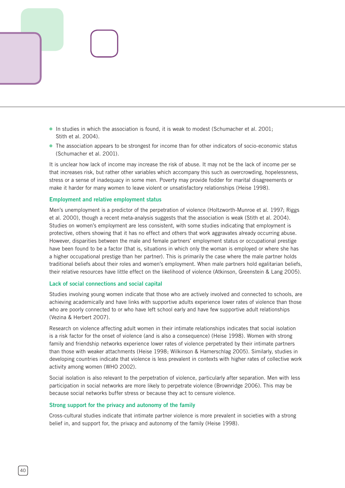

● The association appears to be strongest for income than for other indicators of socio-economic status (Schumacher et al. 2001).

It is unclear how lack of income may increase the risk of abuse. It may not be the lack of income per se that increases risk, but rather other variables which accompany this such as overcrowding, hopelessness, stress or a sense of inadequacy in some men. Poverty may provide fodder for marital disagreements or make it harder for many women to leave violent or unsatisfactory relationships (Heise 1998).

#### **Employment and relative employment status**

Men's unemployment is a predictor of the perpetration of violence (Holtzworth-Munroe et al. 1997; Riggs et al. 2000), though a recent meta-analysis suggests that the association is weak (Stith et al. 2004). Studies on women's employment are less consistent, with some studies indicating that employment is protective, others showing that it has no effect and others that work aggravates already occurring abuse. However, disparities between the male and female partners' employment status or occupational prestige have been found to be a factor (that is, situations in which only the woman is employed or where she has a higher occupational prestige than her partner). This is primarily the case where the male partner holds traditional beliefs about their roles and women's employment. When male partners hold egalitarian beliefs, their relative resources have little effect on the likelihood of violence (Atkinson, Greenstein & Lang 2005).

#### **Lack of social connections and social capital**

Studies involving young women indicate that those who are actively involved and connected to schools, are achieving academically and have links with supportive adults experience lower rates of violence than those who are poorly connected to or who have left school early and have few supportive adult relationships (Vezina & Herbert 2007).

Research on violence affecting adult women in their intimate relationships indicates that social isolation is a risk factor for the onset of violence (and is also a consequence) (Heise 1998). Women with strong family and friendship networks experience lower rates of violence perpetrated by their intimate partners than those with weaker attachments (Heise 1998; Wilkinson & Hamerschlag 2005). Similarly, studies in developing countries indicate that violence is less prevalent in contexts with higher rates of collective work activity among women (WHO 2002).

Social isolation is also relevant to the perpetration of violence, particularly after separation. Men with less participation in social networks are more likely to perpetrate violence (Brownridge 2006). This may be because social networks buffer stress or because they act to censure violence.

#### **Strong support for the privacy and autonomy of the family**

Cross-cultural studies indicate that intimate partner violence is more prevalent in societies with a strong belief in, and support for, the privacy and autonomy of the family (Heise 1998).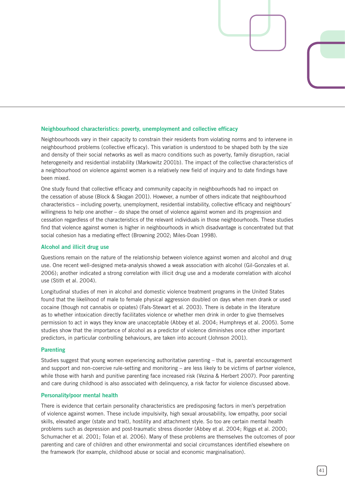### **Neighbourhood characteristics: poverty, unemployment and collective efficacy**

Neighbourhoods vary in their capacity to constrain their residents from violating norms and to intervene in neighbourhood problems (collective efficacy). This variation is understood to be shaped both by the size and density of their social networks as well as macro conditions such as poverty, family disruption, racial heterogeneity and residential instability (Markowitz 2001b). The impact of the collective characteristics of a neighbourhood on violence against women is a relatively new field of inquiry and to date findings have been mixed.

One study found that collective efficacy and community capacity in neighbourhoods had no impact on the cessation of abuse (Block & Skogan 2001). However, a number of others indicate that neighbourhood characteristics – including poverty, unemployment, residential instability, collective efficacy and neighbours' willingness to help one another – do shape the onset of violence against women and its progression and cessation regardless of the characteristics of the relevant individuals in those neighbourhoods. These studies find that violence against women is higher in neighbourhoods in which disadvantage is concentrated but that social cohesion has a mediating effect (Browning 2002; Miles-Doan 1998).

#### **Alcohol and illicit drug use**

Questions remain on the nature of the relationship between violence against women and alcohol and drug use. One recent well-designed meta-analysis showed a weak association with alcohol (Gil-Gonzales et al. 2006); another indicated a strong correlation with illicit drug use and a moderate correlation with alcohol use (Stith et al. 2004).

Longitudinal studies of men in alcohol and domestic violence treatment programs in the United States found that the likelihood of male to female physical aggression doubled on days when men drank or used cocaine (though not cannabis or opiates) (Fals-Stewart et al. 2003). There is debate in the literature as to whether intoxication directly facilitates violence or whether men drink in order to give themselves permission to act in ways they know are unacceptable (Abbey et al. 2004; Humphreys et al. 2005). Some studies show that the importance of alcohol as a predictor of violence diminishes once other important predictors, in particular controlling behaviours, are taken into account (Johnson 2001).

#### **Parenting**

Studies suggest that young women experiencing authoritative parenting – that is, parental encouragement and support and non-coercive rule-setting and monitoring – are less likely to be victims of partner violence, while those with harsh and punitive parenting face increased risk (Vezina & Herbert 2007). Poor parenting and care during childhood is also associated with delinquency, a risk factor for violence discussed above.

#### **Personality/poor mental health**

There is evidence that certain personality characteristics are predisposing factors in men's perpetration of violence against women. These include impulsivity, high sexual arousability, low empathy, poor social skills, elevated anger (state and trait), hostility and attachment style. So too are certain mental health problems such as depression and post-traumatic stress disorder (Abbey et al. 2004; Riggs et al. 2000; Schumacher et al. 2001; Tolan et al. 2006). Many of these problems are themselves the outcomes of poor parenting and care of children and other environmental and social circumstances identified elsewhere on the framework (for example, childhood abuse or social and economic marginalisation).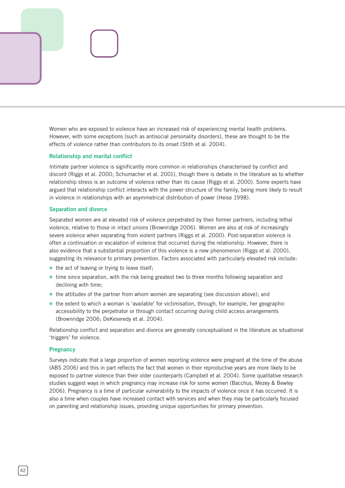

#### **Relationship and marital conflict**

Intimate partner violence is significantly more common in relationships characterised by conflict and discord (Riggs et al. 2000; Schumacher et al. 2001), though there is debate in the literature as to whether relationship stress is an outcome of violence rather than its cause (Riggs et al. 2000). Some experts have argued that relationship conflict interacts with the power structure of the family, being more likely to result in violence in relationships with an asymmetrical distribution of power (Heise 1998).

#### **Separation and divorce**

Separated women are at elevated risk of violence perpetrated by their former partners, including lethal violence, relative to those in intact unions (Brownridge 2006). Women are also at risk of increasingly severe violence when separating from violent partners (Riggs et al. 2000). Post-separation violence is often a continuation or escalation of violence that occurred during the relationship. However, there is also evidence that a substantial proportion of this violence is a new phenomenon (Riggs et al. 2000), suggesting its relevance to primary prevention. Factors associated with particularly elevated risk include:

- the act of leaving or trying to leave itself;
- time since separation, with the risk being greatest two to three months following separation and declining with time;
- the attitudes of the partner from whom women are separating (see discussion above); and
- the extent to which a woman is 'available' for victimisation, through, for example, her geographic accessibility to the perpetrator or through contact occurring during child access arrangements (Brownridge 2006; DeKeseredy et al. 2004).

Relationship conflict and separation and divorce are generally conceptualised in the literature as situational 'triggers' for violence.

#### **Pregnancy**

Surveys indicate that a large proportion of women reporting violence were pregnant at the time of the abuse (ABS 2006) and this in part reflects the fact that women in their reproductive years are more likely to be exposed to partner violence than their older counterparts (Campbell et al. 2004). Some qualitative research studies suggest ways in which pregnancy may increase risk for some women (Bacchus, Mezey & Bewley 2006). Pregnancy is a time of particular vulnerability to the impacts of violence once it has occurred. It is also a time when couples have increased contact with services and when they may be particularly focused on parenting and relationship issues, providing unique opportunities for primary prevention.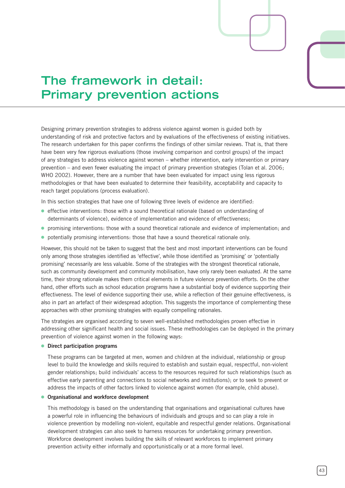# **The framework in detail: Primary prevention actions**

Designing primary prevention strategies to address violence against women is guided both by understanding of risk and protective factors and by evaluations of the effectiveness of existing initiatives. The research undertaken for this paper confirms the findings of other similar reviews. That is, that there have been very few rigorous evaluations (those involving comparison and control groups) of the impact of any strategies to address violence against women – whether intervention, early intervention or primary prevention – and even fewer evaluating the impact of primary prevention strategies (Tolan et al. 2006; WHO 2002). However, there are a number that have been evaluated for impact using less rigorous methodologies or that have been evaluated to determine their feasibility, acceptability and capacity to reach target populations (process evaluation).

In this section strategies that have one of following three levels of evidence are identified:

- effective interventions: those with a sound theoretical rationale (based on understanding of determinants of violence), evidence of implementation and evidence of effectiveness;
- promising interventions: those with a sound theoretical rationale and evidence of implementation; and
- potentially promising interventions: those that have a sound theoretical rationale only.

However, this should not be taken to suggest that the best and most important interventions can be found only among those strategies identified as 'effective', while those identified as 'promising' or 'potentially promising' necessarily are less valuable. Some of the strategies with the strongest theoretical rationale, such as community development and community mobilisation, have only rarely been evaluated. At the same time, their strong rationale makes them critical elements in future violence prevention efforts. On the other hand, other efforts such as school education programs have a substantial body of evidence supporting their effectiveness. The level of evidence supporting their use, while a reflection of their genuine effectiveness, is also in part an artefact of their widespread adoption. This suggests the importance of complementing these approaches with other promising strategies with equally compelling rationales.

The strategies are organised according to seven well-established methodologies proven effective in addressing other significant health and social issues. These methodologies can be deployed in the primary prevention of violence against women in the following ways:

#### **Direct participation programs** ⓦ

These programs can be targeted at men, women and children at the individual, relationship or group level to build the knowledge and skills required to establish and sustain equal, respectful, non-violent gender relationships; build individuals' access to the resources required for such relationships (such as effective early parenting and connections to social networks and institutions); or to seek to prevent or address the impacts of other factors linked to violence against women (for example, child abuse).

#### **Organisational and workforce development** ⓦ

This methodology is based on the understanding that organisations and organisational cultures have a powerful role in influencing the behaviours of individuals and groups and so can play a role in violence prevention by modelling non-violent, equitable and respectful gender relations. Organisational development strategies can also seek to harness resources for undertaking primary prevention. Workforce development involves building the skills of relevant workforces to implement primary prevention activity either informally and opportunistically or at a more formal level.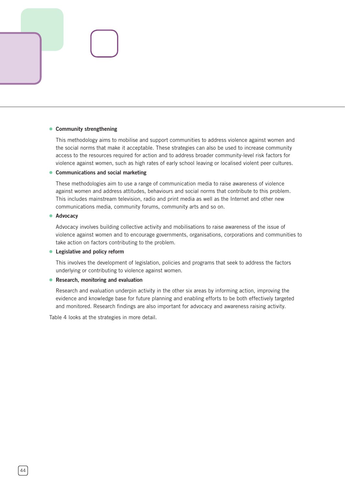#### **• Community strengthening**

This methodology aims to mobilise and support communities to address violence against women and the social norms that make it acceptable. These strategies can also be used to increase community access to the resources required for action and to address broader community-level risk factors for violence against women, such as high rates of early school leaving or localised violent peer cultures.

#### **Communications and social marketing** ⓦ

These methodologies aim to use a range of communication media to raise awareness of violence against women and address attitudes, behaviours and social norms that contribute to this problem. This includes mainstream television, radio and print media as well as the Internet and other new communications media, community forums, community arts and so on.

#### **Advocacy** ⓦ

Advocacy involves building collective activity and mobilisations to raise awareness of the issue of violence against women and to encourage governments, organisations, corporations and communities to take action on factors contributing to the problem.

#### **Legislative and policy reform** ⓦ

This involves the development of legislation, policies and programs that seek to address the factors underlying or contributing to violence against women.

#### **• Research, monitoring and evaluation**

Research and evaluation underpin activity in the other six areas by informing action, improving the evidence and knowledge base for future planning and enabling efforts to be both effectively targeted and monitored. Research findings are also important for advocacy and awareness raising activity.

Table 4 looks at the strategies in more detail.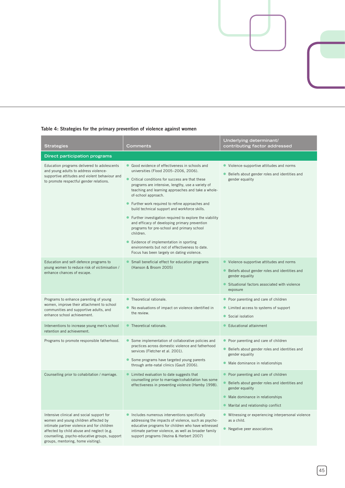### **Table 4: Strategies for the primary prevention of violence against women**

| Strategies                                                                                                                                                                                                                                                          | Comments                                                                                                                                                                                                                                                                                                                                                                                                                                                                                                                                                                                                                                                                                       | Underlying determinant/<br>contributing factor addressed                                                                                                                              |  |
|---------------------------------------------------------------------------------------------------------------------------------------------------------------------------------------------------------------------------------------------------------------------|------------------------------------------------------------------------------------------------------------------------------------------------------------------------------------------------------------------------------------------------------------------------------------------------------------------------------------------------------------------------------------------------------------------------------------------------------------------------------------------------------------------------------------------------------------------------------------------------------------------------------------------------------------------------------------------------|---------------------------------------------------------------------------------------------------------------------------------------------------------------------------------------|--|
| Direct participation programs                                                                                                                                                                                                                                       |                                                                                                                                                                                                                                                                                                                                                                                                                                                                                                                                                                                                                                                                                                |                                                                                                                                                                                       |  |
| Education programs delivered to adolescents<br>and young adults to address violence-<br>supportive attitudes and violent behaviour and<br>to promote respectful gender relations.                                                                                   | Good evidence of effectiveness in schools and<br>universities (Flood 2005-2006, 2006).<br>Critical conditions for success are that these<br>programs are intensive, lengthy, use a variety of<br>teaching and learning approaches and take a whole-<br>of-school approach.<br>Further work required to refine approaches and<br>build technical support and workforce skills.<br>Further investigation required to explore the viability<br>and efficacy of developing primary prevention<br>programs for pre-school and primary school<br>children.<br>Evidence of implementation in sporting<br>environments but not of effectiveness to date.<br>Focus has been largely on dating violence. | • Violence-supportive attitudes and norms<br>Beliefs about gender roles and identities and<br>gender equality                                                                         |  |
| Education and self-defence programs to<br>young women to reduce risk of victimisation /<br>enhance chances of escape.                                                                                                                                               | Small beneficial effect for education programs<br>(Hanson & Broom 2005)                                                                                                                                                                                                                                                                                                                                                                                                                                                                                                                                                                                                                        | • Violence-supportive attitudes and norms<br>• Beliefs about gender roles and identities and<br>gender equality<br>Situational factors associated with violence<br>exposure           |  |
| Programs to enhance parenting of young<br>women, improve their attachment to school<br>communities and supportive adults, and<br>enhance school achievement.                                                                                                        | Theoretical rationale.<br>No evaluations of impact on violence identified in<br>the review.                                                                                                                                                                                                                                                                                                                                                                                                                                                                                                                                                                                                    | Poor parenting and care of children<br>Limited access to systems of support<br>Social isolation                                                                                       |  |
| Interventions to increase young men's school<br>retention and achievement.                                                                                                                                                                                          | Theoretical rationale.                                                                                                                                                                                                                                                                                                                                                                                                                                                                                                                                                                                                                                                                         | Educational attainment                                                                                                                                                                |  |
| Programs to promote responsible fatherhood.                                                                                                                                                                                                                         | Some implementation of collaborative policies and<br>practices across domestic violence and fatherhood<br>services (Fletcher et al. 2001).<br>Some programs have targeted young parents<br>through ante-natal clinics (Gault 2006).                                                                                                                                                                                                                                                                                                                                                                                                                                                            | Poor parenting and care of children<br>Beliefs about gender roles and identities and<br>gender equality<br>Male dominance in relationships                                            |  |
| Counselling prior to cohabitation / marriage.                                                                                                                                                                                                                       | Limited evaluation to date suggests that<br>counselling prior to marriage/cohabitation has some<br>effectiveness in preventing violence (Hamby 1998).                                                                                                                                                                                                                                                                                                                                                                                                                                                                                                                                          | • Poor parenting and care of children<br>Beliefs about gender roles and identities and<br>gender equality<br>• Male dominance in relationships<br>• Marital and relationship conflict |  |
| Intensive clinical and social support for<br>women and young children affected by<br>intimate partner violence and for children<br>affected by child abuse and neglect (e.g.<br>counselling, psycho-educative groups, support<br>groups, mentoring, home visiting). | Includes numerous interventions specifically<br>addressing the impacts of violence, such as psycho-<br>educative programs for children who have witnessed<br>intimate partner violence, as well as broader family<br>support programs (Vezina & Herbert 2007)                                                                                                                                                                                                                                                                                                                                                                                                                                  | • Witnessing or experiencing interpersonal violence<br>as a child.<br>$\bullet$<br>Negative peer associations                                                                         |  |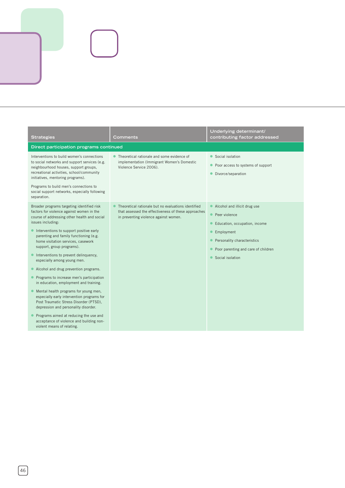| <b>Strategies</b>                                                                                                                                                                                                                                                                                                                                                                                                                                                                                                                                                                                                                                                                                                                                                                                                          | Comments                                                                                                                                            | Underlying determinant/<br>contributing factor addressed                                                                                                                                              |
|----------------------------------------------------------------------------------------------------------------------------------------------------------------------------------------------------------------------------------------------------------------------------------------------------------------------------------------------------------------------------------------------------------------------------------------------------------------------------------------------------------------------------------------------------------------------------------------------------------------------------------------------------------------------------------------------------------------------------------------------------------------------------------------------------------------------------|-----------------------------------------------------------------------------------------------------------------------------------------------------|-------------------------------------------------------------------------------------------------------------------------------------------------------------------------------------------------------|
| Direct participation programs continued                                                                                                                                                                                                                                                                                                                                                                                                                                                                                                                                                                                                                                                                                                                                                                                    |                                                                                                                                                     |                                                                                                                                                                                                       |
| Interventions to build women's connections<br>to social networks and support services (e.g.<br>neighbourhood houses, support groups,<br>recreational activities, school/community<br>initiatives, mentoring programs).<br>Programs to build men's connections to<br>social support networks, especially following<br>separation.                                                                                                                                                                                                                                                                                                                                                                                                                                                                                           | • Theoretical rationale and some evidence of<br>implementation (Immigrant Women's Domestic<br>Violence Service 2006).                               | Social isolation<br>• Poor access to systems of support<br>Divorce/separation                                                                                                                         |
| Broader programs targeting identified risk<br>factors for violence against women in the<br>course of addressing other health and social<br>issues including:<br>• Interventions to support positive early<br>parenting and family functioning (e.g.<br>home visitation services, casework<br>support, group programs).<br>Interventions to prevent delinquency,<br>especially among young men.<br>Alcohol and drug prevention programs.<br>Programs to increase men's participation<br>in education, employment and training.<br>Mental health programs for young men,<br>especially early intervention programs for<br>Post Traumatic Stress Disorder (PTSD),<br>depression and personality disorder.<br>Programs aimed at reducing the use and<br>acceptance of violence and building non-<br>violent means of relating. | Theoretical rationale but no evaluations identified<br>that assessed the effectiveness of these approaches<br>in preventing violence against women. | • Alcohol and illicit drug use<br>Peer violence<br>Education, occupation, income<br>Employment<br>$\bullet$<br>Personality characteristics<br>Poor parenting and care of children<br>Social isolation |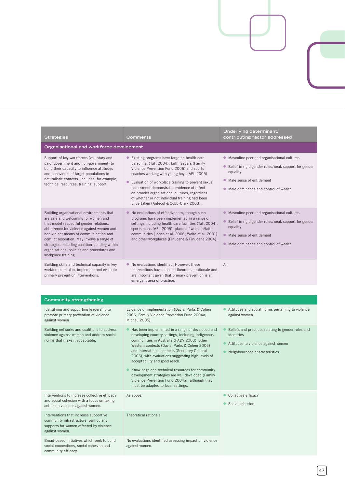| <b>Strategies</b>                                                                                                                                                                                                                                                                                                                                                                         | Comments                                                                                                                                                                                                                                                                                                                                                                                                                                                                                              | Underlying determinant/<br>contributing factor addressed                                                                                                                                    |  |
|-------------------------------------------------------------------------------------------------------------------------------------------------------------------------------------------------------------------------------------------------------------------------------------------------------------------------------------------------------------------------------------------|-------------------------------------------------------------------------------------------------------------------------------------------------------------------------------------------------------------------------------------------------------------------------------------------------------------------------------------------------------------------------------------------------------------------------------------------------------------------------------------------------------|---------------------------------------------------------------------------------------------------------------------------------------------------------------------------------------------|--|
| Organisational and workforce development                                                                                                                                                                                                                                                                                                                                                  |                                                                                                                                                                                                                                                                                                                                                                                                                                                                                                       |                                                                                                                                                                                             |  |
| Support of key workforces (voluntary and<br>paid, government and non-government) to<br>build their capacity to influence attitudes<br>and behaviours of target populations in<br>naturalistic contexts. Includes, for example,<br>technical resources, training, support.                                                                                                                 | • Existing programs have targeted health care<br>personnel (Taft 2004), faith leaders (Family<br>Violence Prevention Fund 2006) and sports<br>coaches working with young boys (AFL 2005).<br>• Evaluation of workplace training to prevent sexual<br>harassment demonstrates evidence of effect<br>on broader organisational cultures, regardless<br>of whether or not individual training had been<br>undertaken (Antecol & Cobb-Clark 2003).                                                        | • Masculine peer and organisational cultures<br>● Belief in rigid gender roles/weak support for gender<br>equality<br>Male sense of entitlement<br>• Male dominance and control of wealth   |  |
| Building organisational environments that<br>are safe and welcoming for women and<br>that model respectful gender relations,<br>abhorrence for violence against women and<br>non-violent means of communication and<br>conflict resolution. May involve a range of<br>strategies including coalition-building within<br>organisations, policies and procedures and<br>workplace training. | • No evaluations of effectiveness, though such<br>programs have been implemented in a range of<br>settings including health care facilities (Taft 2004),<br>sports clubs (AFL 2005), places of worship/faith<br>communities (Jones et al. 2006; Wolfe et al. 2001)<br>and other workplaces (Finucane & Finucane 2004).                                                                                                                                                                                | • Masculine peer and organisational cultures<br>• Belief in rigid gender roles/weak support for gender<br>equality<br>• Male sense of entitlement<br>• Male dominance and control of wealth |  |
| Building skills and technical capacity in key<br>workforces to plan, implement and evaluate<br>primary prevention interventions.                                                                                                                                                                                                                                                          | • No evaluations identified. However, these<br>interventions have a sound theoretical rationale and<br>are important given that primary prevention is an<br>emergent area of practice.                                                                                                                                                                                                                                                                                                                | All                                                                                                                                                                                         |  |
|                                                                                                                                                                                                                                                                                                                                                                                           |                                                                                                                                                                                                                                                                                                                                                                                                                                                                                                       |                                                                                                                                                                                             |  |
| <b>Community strengthening</b>                                                                                                                                                                                                                                                                                                                                                            |                                                                                                                                                                                                                                                                                                                                                                                                                                                                                                       |                                                                                                                                                                                             |  |
| Identifying and supporting leadership to<br>promote primary prevention of violence<br>against women                                                                                                                                                                                                                                                                                       | Evidence of implementation (Davis, Parks & Cohen<br>2006; Family Violence Prevention Fund 2004a;<br>Michau 2005).                                                                                                                                                                                                                                                                                                                                                                                     | • Attitudes and social norms pertaining to violence<br>against women                                                                                                                        |  |
| Building networks and coalitions to address<br>violence against women and address social<br>norms that make it acceptable.                                                                                                                                                                                                                                                                | Has been implemented in a range of developed and<br>developing country settings, including Indigenous<br>communities in Australia (PADV 2003), other<br>Western contexts (Davis, Parks & Cohen 2006)<br>and international contexts (Secretary General<br>2006), with evaluations suggesting high levels of<br>acceptability and good reach.<br>Knowledge and technical resources for community<br>development strategies are well developed (Family<br>Violence Prevention Fund 2004a), although they | Beliefs and practices relating to gender roles and<br>identities<br>Attitudes to violence against women<br>• Neighbourhood characteristics                                                  |  |
|                                                                                                                                                                                                                                                                                                                                                                                           | must be adapted to local settings.                                                                                                                                                                                                                                                                                                                                                                                                                                                                    |                                                                                                                                                                                             |  |
| Interventions to increase collective efficacy<br>and social cohesion with a focus on taking<br>action on violence against women.                                                                                                                                                                                                                                                          | As above.                                                                                                                                                                                                                                                                                                                                                                                                                                                                                             | Collective efficacy<br>$\bullet$<br>Social cohesion                                                                                                                                         |  |
| Interventions that increase supportive<br>community infrastructure, particularly<br>supports for women affected by violence<br>against women.                                                                                                                                                                                                                                             | Theoretical rationale.                                                                                                                                                                                                                                                                                                                                                                                                                                                                                |                                                                                                                                                                                             |  |
| Broad-based initiatives which seek to build<br>social connections, social cohesion and<br>community efficacy.                                                                                                                                                                                                                                                                             | No evaluations identified assessing impact on violence<br>against women.                                                                                                                                                                                                                                                                                                                                                                                                                              |                                                                                                                                                                                             |  |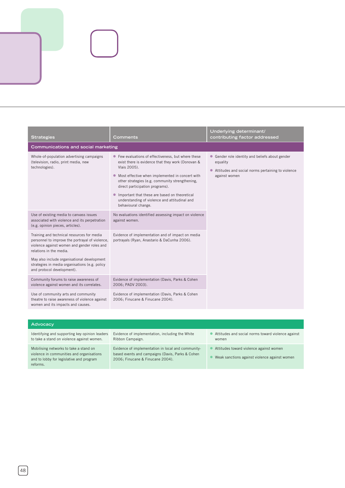| <b>Strategies</b>                                                                                                                                                                                                                                                                                      | Comments                                                                                                                                                                                                                                                                                                                                                                                     | Underlying determinant/<br>contributing factor addressed                                                                                     |
|--------------------------------------------------------------------------------------------------------------------------------------------------------------------------------------------------------------------------------------------------------------------------------------------------------|----------------------------------------------------------------------------------------------------------------------------------------------------------------------------------------------------------------------------------------------------------------------------------------------------------------------------------------------------------------------------------------------|----------------------------------------------------------------------------------------------------------------------------------------------|
| Communications and social marketing                                                                                                                                                                                                                                                                    |                                                                                                                                                                                                                                                                                                                                                                                              |                                                                                                                                              |
| Whole-of-population advertising campaigns<br>(television, radio, print media, new<br>technologies).                                                                                                                                                                                                    | • Few evaluations of effectiveness, but where these<br>exist there is evidence that they work (Donovan &<br>Vlais 2005).<br>• Most effective when implemented in concert with<br>other strategies (e.g. community strengthening,<br>direct participation programs).<br>Important that these are based on theoretical<br>understanding of violence and attitudinal and<br>behavioural change. | Gender role identity and beliefs about gender<br>$\bullet$<br>equality<br>Attitudes and social norms pertaining to violence<br>against women |
| Use of existing media to canvass issues<br>associated with violence and its perpetration<br>(e.g. opinion pieces, articles).                                                                                                                                                                           | No evaluations identified assessing impact on violence<br>against women.                                                                                                                                                                                                                                                                                                                     |                                                                                                                                              |
| Training and technical resources for media<br>personnel to improve the portrayal of violence,<br>violence against women and gender roles and<br>relations in the media.<br>May also include organisational development<br>strategies in media organisations (e.g. policy<br>and protocol development). | Evidence of implementation and of impact on media<br>portrayals (Ryan, Anastario & DaCunha 2006).                                                                                                                                                                                                                                                                                            |                                                                                                                                              |
| Community forums to raise awareness of<br>violence against women and its correlates.                                                                                                                                                                                                                   | Evidence of implementation (Davis, Parks & Cohen<br>2006; PADV 2003).                                                                                                                                                                                                                                                                                                                        |                                                                                                                                              |
| Use of community arts and community<br>theatre to raise awareness of violence against<br>women and its impacts and causes.                                                                                                                                                                             | Evidence of implementation (Davis, Parks & Cohen<br>2006; Finucane & Finucane 2004).                                                                                                                                                                                                                                                                                                         |                                                                                                                                              |

| <b>Advocacy</b>                                                                                                                             |                                                                                                                                            |                                                                                          |  |
|---------------------------------------------------------------------------------------------------------------------------------------------|--------------------------------------------------------------------------------------------------------------------------------------------|------------------------------------------------------------------------------------------|--|
| Identifying and supporting key opinion leaders<br>to take a stand on violence against women.                                                | Evidence of implementation, including the White<br>Ribbon Campaign.                                                                        | Attitudes and social norms toward violence against<br>women                              |  |
| Mobilising networks to take a stand on<br>violence in communities and organisations<br>and to lobby for legislative and program<br>reforms. | Evidence of implementation in local and community-<br>based events and campaigns (Davis, Parks & Cohen<br>2006: Finucane & Finucane 2004). | Attitudes toward violence against women<br>Weak sanctions against violence against women |  |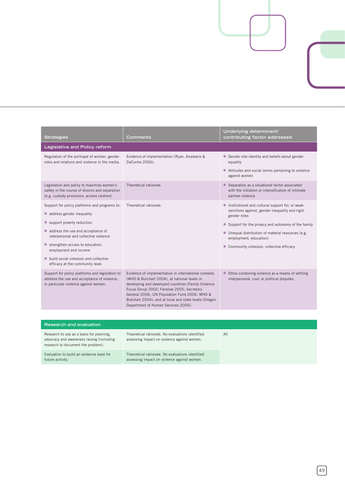| <b>Strategies</b>                                                                                                                                                                                                                                                                                                                 | Comments                                                                                                                                                                                                                                                                                                                                                 | Underlying determinant/<br>contributing factor addressed                                                                                                                                                                                                                                             |  |
|-----------------------------------------------------------------------------------------------------------------------------------------------------------------------------------------------------------------------------------------------------------------------------------------------------------------------------------|----------------------------------------------------------------------------------------------------------------------------------------------------------------------------------------------------------------------------------------------------------------------------------------------------------------------------------------------------------|------------------------------------------------------------------------------------------------------------------------------------------------------------------------------------------------------------------------------------------------------------------------------------------------------|--|
| Legislative and Policy reform                                                                                                                                                                                                                                                                                                     |                                                                                                                                                                                                                                                                                                                                                          |                                                                                                                                                                                                                                                                                                      |  |
| Regulation of the portrayal of women, gender<br>roles and relations and violence in the media.                                                                                                                                                                                                                                    | Evidence of implementation (Ryan, Anastario &<br>DaCunha 2006).                                                                                                                                                                                                                                                                                          | • Gender role identity and beliefs about gender<br>equality<br>• Attitudes and social norms pertaining to violence<br>against women                                                                                                                                                                  |  |
| Legislation and policy to maximise women's<br>safety in the course of divorce and separation<br>(e.g. custody provisions, access centres).                                                                                                                                                                                        | Theoretical rationale.                                                                                                                                                                                                                                                                                                                                   | • Separation as a situational factor associated<br>with the initiation or intensification of intimate<br>partner violence                                                                                                                                                                            |  |
| Support for policy platforms and programs to:<br>• address gender inequality<br>• support poverty reduction<br>address the use and acceptance of<br>interpersonal and collective violence<br>strengthen access to education,<br>employment and income<br>build social cohesion and collective<br>efficacy at the community level. | Theoretical rationale.                                                                                                                                                                                                                                                                                                                                   | Institutional and cultural support for, or weak<br>sanctions against, gender inequality and rigid<br>gender roles<br>• Support for the privacy and autonomy of the family<br>• Unequal distribution of material resources (e.g.<br>employment, education)<br>Community cohesion, collective efficacy |  |
| Support for policy platforms and legislation to<br>address the use and acceptance of violence,<br>in particular violence against women.                                                                                                                                                                                           | Evidence of implementation in international contexts<br>(WHO & Butchart 2004), at national levels in<br>developing and developed countries (Family Violence<br>Focus Group 2002; Fanslow 2005; Secretary<br>General 2006; UN Population Fund 2006; WHO &<br>Butchart 2004), and at local and state levels (Oregon<br>Department of Human Services 2006). | Ethos condoning violence as a means of settling<br>$\bullet$<br>interpersonal, civic or political disputes                                                                                                                                                                                           |  |
|                                                                                                                                                                                                                                                                                                                                   |                                                                                                                                                                                                                                                                                                                                                          |                                                                                                                                                                                                                                                                                                      |  |

| <b>Research and evaluation</b>                                                                                              |                                                                                                 |     |  |
|-----------------------------------------------------------------------------------------------------------------------------|-------------------------------------------------------------------------------------------------|-----|--|
| Research to use as a basis for planning,<br>advocacy and awareness raising (including<br>research to document the problem). | Theoretical rationale. No evaluations identified<br>assessing impact on violence against women. | All |  |
| Evaluation to build an evidence base for<br>future activity.                                                                | Theoretical rationale. No evaluations identified<br>assessing impact on violence against women. |     |  |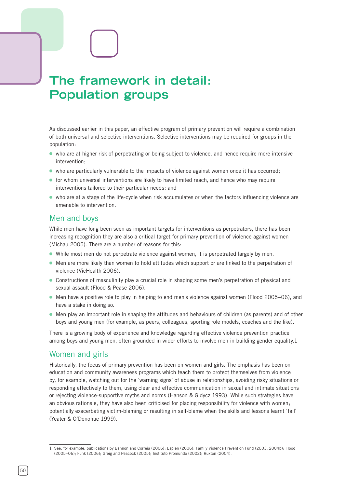# **The framework in detail: Population groups**

As discussed earlier in this paper, an effective program of primary prevention will require a combination of both universal and selective interventions. Selective interventions may be required for groups in the population:

- who are at higher risk of perpetrating or being subject to violence, and hence require more intensive intervention;
- who are particularly vulnerable to the impacts of violence against women once it has occurred;
- for whom universal interventions are likely to have limited reach, and hence who may require interventions tailored to their particular needs; and
- who are at a stage of the life-cycle when risk accumulates or when the factors influencing violence are amenable to intervention.

### Men and boys

While men have long been seen as important targets for interventions as perpetrators, there has been increasing recognition they are also a critical target for primary prevention of violence against women (Michau 2005). There are a number of reasons for this:

- While most men do not perpetrate violence against women, it is perpetrated largely by men.
- Men are more likely than women to hold attitudes which support or are linked to the perpetration of violence (VicHealth 2006).
- Constructions of masculinity play a crucial role in shaping some men's perpetration of physical and sexual assault (Flood & Pease 2006).
- Men have a positive role to play in helping to end men's violence against women (Flood 2005–06), and have a stake in doing so.
- Men play an important role in shaping the attitudes and behaviours of children (as parents) and of other boys and young men (for example, as peers, colleagues, sporting role models, coaches and the like).

There is a growing body of experience and knowledge regarding effective violence prevention practice among boys and young men, often grounded in wider efforts to involve men in building gender equality.1

### Women and girls

Historically, the focus of primary prevention has been on women and girls. The emphasis has been on education and community awareness programs which teach them to protect themselves from violence by, for example, watching out for the 'warning signs' of abuse in relationships, avoiding risky situations or responding effectively to them, using clear and effective communication in sexual and intimate situations or rejecting violence-supportive myths and norms (Hanson & Gidycz 1993). While such strategies have an obvious rationale, they have also been criticised for placing responsibility for violence with women; potentially exacerbating victim-blaming or resulting in self-blame when the skills and lessons learnt 'fail' (Yeater & O'Donohue 1999).

See, for example, publications by Bannon and Correia (2006); Esplen (2006); Family Violence Prevention Fund (2003, 2004b); Flood (2005–06); Funk (2006); Greig and Peacock (2005); Instituto Promundo (2002); Ruxton (2004).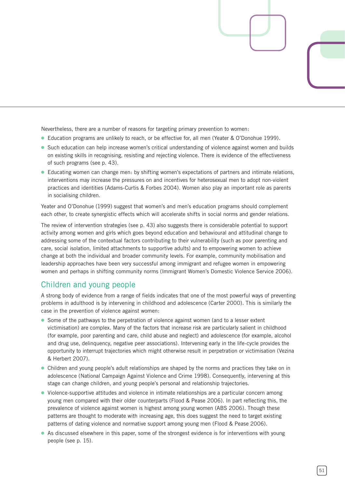Nevertheless, there are a number of reasons for targeting primary prevention to women:

- Education programs are unlikely to reach, or be effective for, all men (Yeater & O'Donohue 1999).
- Such education can help increase women's critical understanding of violence against women and builds on existing skills in recognising, resisting and rejecting violence. There is evidence of the effectiveness of such programs (see p. 43).
- Educating women can change men: by shifting women's expectations of partners and intimate relations, interventions may increase the pressures on and incentives for heterosexual men to adopt non-violent practices and identities (Adams-Curtis & Forbes 2004). Women also play an important role as parents in socialising children.

Yeater and O'Donohue (1999) suggest that women's and men's education programs should complement each other, to create synergistic effects which will accelerate shifts in social norms and gender relations.

The review of intervention strategies (see p. 43) also suggests there is considerable potential to support activity among women and girls which goes beyond education and behavioural and attitudinal change to addressing some of the contextual factors contributing to their vulnerability (such as poor parenting and care, social isolation, limited attachments to supportive adults) and to empowering women to achieve change at both the individual and broader community levels. For example, community mobilisation and leadership approaches have been very successful among immigrant and refugee women in empowering women and perhaps in shifting community norms (Immigrant Women's Domestic Violence Service 2006).

## Children and young people

A strong body of evidence from a range of fields indicates that one of the most powerful ways of preventing problems in adulthood is by intervening in childhood and adolescence (Carter 2000). This is similarly the case in the prevention of violence against women:

- Some of the pathways to the perpetration of violence against women (and to a lesser extent victimisation) are complex. Many of the factors that increase risk are particularly salient in childhood (for example, poor parenting and care, child abuse and neglect) and adolescence (for example, alcohol and drug use, delinquency, negative peer associations). Intervening early in the life-cycle provides the opportunity to interrupt trajectories which might otherwise result in perpetration or victimisation (Vezina & Herbert 2007).
- Children and young people's adult relationships are shaped by the norms and practices they take on in adolescence (National Campaign Against Violence and Crime 1998). Consequently, intervening at this stage can change children, and young people's personal and relationship trajectories.
- Violence-supportive attitudes and violence in intimate relationships are a particular concern among young men compared with their older counterparts (Flood & Pease 2006). In part reflecting this, the prevalence of violence against women is highest among young women (ABS 2006). Though these patterns are thought to moderate with increasing age, this does suggest the need to target existing patterns of dating violence and normative support among young men (Flood & Pease 2006).
- As discussed elsewhere in this paper, some of the strongest evidence is for interventions with young people (see p. 15).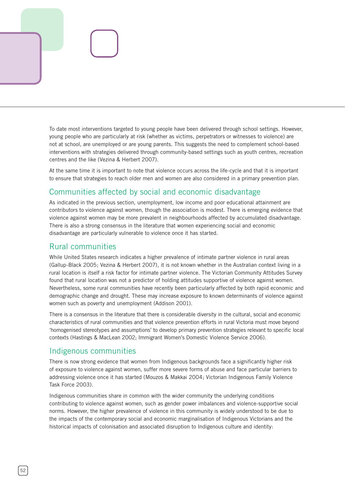To date most interventions targeted to young people have been delivered through school settings. However, young people who are particularly at risk (whether as victims, perpetrators or witnesses to violence) are not at school, are unemployed or are young parents. This suggests the need to complement school-based interventions with strategies delivered through community-based settings such as youth centres, recreation centres and the like (Vezina & Herbert 2007).

At the same time it is important to note that violence occurs across the life-cycle and that it is important to ensure that strategies to reach older men and women are also considered in a primary prevention plan.

# Communities affected by social and economic disadvantage

As indicated in the previous section, unemployment, low income and poor educational attainment are contributors to violence against women, though the association is modest. There is emerging evidence that violence against women may be more prevalent in neighbourhoods affected by accumulated disadvantage. There is also a strong consensus in the literature that women experiencing social and economic disadvantage are particularly vulnerable to violence once it has started.

## Rural communities

While United States research indicates a higher prevalence of intimate partner violence in rural areas (Gallup-Black 2005; Vezina & Herbert 2007), it is not known whether in the Australian context living in a rural location is itself a risk factor for intimate partner violence. The Victorian Community Attitudes Survey found that rural location was not a predictor of holding attitudes supportive of violence against women. Nevertheless, some rural communities have recently been particularly affected by both rapid economic and demographic change and drought. These may increase exposure to known determinants of violence against women such as poverty and unemployment (Addison 2001).

There is a consensus in the literature that there is considerable diversity in the cultural, social and economic characteristics of rural communities and that violence prevention efforts in rural Victoria must move beyond 'homogenised stereotypes and assumptions' to develop primary prevention strategies relevant to specific local contexts (Hastings & MacLean 2002; Immigrant Women's Domestic Violence Service 2006).

# Indigenous communities

There is now strong evidence that women from Indigenous backgrounds face a significantly higher risk of exposure to violence against women, suffer more severe forms of abuse and face particular barriers to addressing violence once it has started (Mouzos & Makkai 2004; Victorian Indigenous Family Violence Task Force 2003).

Indigenous communities share in common with the wider community the underlying conditions contributing to violence against women, such as gender power imbalances and violence-supportive social norms. However, the higher prevalence of violence in this community is widely understood to be due to the impacts of the contemporary social and economic marginalisation of Indigenous Victorians and the historical impacts of colonisation and associated disruption to Indigenous culture and identity: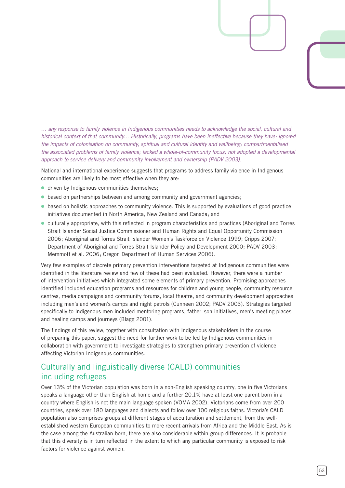*… any response to family violence in Indigenous communities needs to acknowledge the social, cultural and historical context of that community… Historically, programs have been ineffective because they have: ignored the impacts of colonisation on community, spiritual and cultural identity and wellbeing; compartmentalised the associated problems of family violence; lacked a whole-of-community focus; not adopted a developmental approach to service delivery and community involvement and ownership (PADV 2003).*

National and international experience suggests that programs to address family violence in Indigenous communities are likely to be most effective when they are:

- **.** driven by Indigenous communities themselves;
- based on partnerships between and among community and government agencies; ⓦ
- based on holistic approaches to community violence. This is supported by evaluations of good practice initiatives documented in North America, New Zealand and Canada; and
- culturally appropriate, with this reflected in program characteristics and practices (Aboriginal and Torres Strait Islander Social Justice Commissioner and Human Rights and Equal Opportunity Commission 2006; Aboriginal and Torres Strait Islander Women's Taskforce on Violence 1999; Cripps 2007; Department of Aboriginal and Torres Strait Islander Policy and Development 2000; PADV 2003; Memmott et al. 2006; Oregon Department of Human Services 2006).

Very few examples of discrete primary prevention interventions targeted at Indigenous communities were identified in the literature review and few of these had been evaluated. However, there were a number of intervention initiatives which integrated some elements of primary prevention. Promising approaches identified included education programs and resources for children and young people, community resource centres, media campaigns and community forums, local theatre, and community development approaches including men's and women's camps and night patrols (Cunneen 2002; PADV 2003). Strategies targeted specifically to Indigenous men included mentoring programs, father–son initiatives, men's meeting places and healing camps and journeys (Blagg 2001).

The findings of this review, together with consultation with Indigenous stakeholders in the course of preparing this paper, suggest the need for further work to be led by Indigenous communities in collaboration with government to investigate strategies to strengthen primary prevention of violence affecting Victorian Indigenous communities.

# Culturally and linguistically diverse (CALD) communities including refugees

Over 13% of the Victorian population was born in a non-English speaking country, one in five Victorians speaks a language other than English at home and a further 20.1% have at least one parent born in a country where English is not the main language spoken (VOMA 2002). Victorians come from over 200 countries, speak over 180 languages and dialects and follow over 100 religious faiths. Victoria's CALD population also comprises groups at different stages of acculturation and settlement, from the wellestablished western European communities to more recent arrivals from Africa and the Middle East. As is the case among the Australian born, there are also considerable within-group differences. It is probable that this diversity is in turn reflected in the extent to which any particular community is exposed to risk factors for violence against women.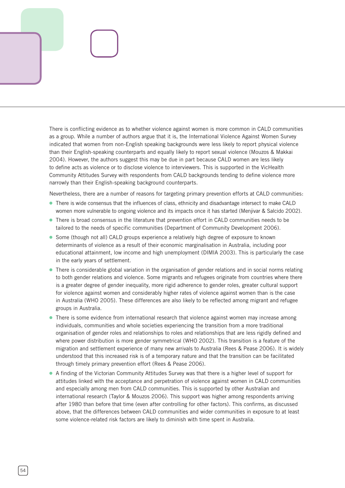There is conflicting evidence as to whether violence against women is more common in CALD communities as a group. While a number of authors argue that it is, the International Violence Against Women Survey indicated that women from non-English speaking backgrounds were less likely to report physical violence than their English-speaking counterparts and equally likely to report sexual violence (Mouzos & Makkai 2004). However, the authors suggest this may be due in part because CALD women are less likely to define acts as violence or to disclose violence to interviewers. This is supported in the VicHealth Community Attitudes Survey with respondents from CALD backgrounds tending to define violence more narrowly than their English-speaking background counterparts.

Nevertheless, there are a number of reasons for targeting primary prevention efforts at CALD communities:

- There is wide consensus that the influences of class, ethnicity and disadvantage intersect to make CAL women more vulnerable to ongoing violence and its impacts once it has started (Menjivar & Salcido 2002).
- There is broad consensus in the literature that prevention effort in CALD communities needs to be tailored to the needs of specific communities (Department of Community Development 2006).
- Some (though not all) CALD groups experience a relatively high degree of exposure to known determinants of violence as a result of their economic marginalisation in Australia, including poor educational attainment, low income and high unemployment (DIMIA 2003). This is particularly the case in the early years of settlement.
- There is considerable global variation in the organisation of gender relations and in social norms relating to both gender relations and violence. Some migrants and refugees originate from countries where there is a greater degree of gender inequality, more rigid adherence to gender roles, greater cultural support for violence against women and considerably higher rates of violence against women than is the case in Australia (WHO 2005). These differences are also likely to be reflected among migrant and refugee groups in Australia.
- There is some evidence from international research that violence against women may increase among individuals, communities and whole societies experiencing the transition from a more traditional organisation of gender roles and relationships to roles and relationships that are less rigidly defined and where power distribution is more gender symmetrical (WHO 2002). This transition is a feature of the migration and settlement experience of many new arrivals to Australia (Rees & Pease 2006). It is widely understood that this increased risk is of a temporary nature and that the transition can be facilitated through timely primary prevention effort (Rees & Pease 2006).
- A finding of the Victorian Community Attitudes Survey was that there is a higher level of support for attitudes linked with the acceptance and perpetration of violence against women in CALD communities and especially among men from CALD communities. This is supported by other Australian and international research (Taylor & Mouzos 2006). This support was higher among respondents arriving after 1980 than before that time (even after controlling for other factors). This confirms, as discussed above, that the differences between CALD communities and wider communities in exposure to at least some violence-related risk factors are likely to diminish with time spent in Australia.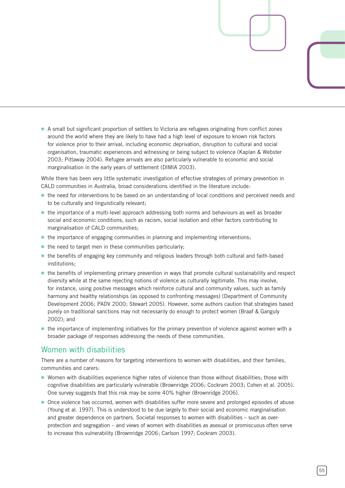● A small but significant proportion of settlers to Victoria are refugees originating from conflict zones around the world where they are likely to have had a high level of exposure to known risk factors for violence prior to their arrival, including economic deprivation, disruption to cultural and social organisation, traumatic experiences and witnessing or being subject to violence (Kaplan & Webster 2003; Pittaway 2004). Refugee arrivals are also particularly vulnerable to economic and social marginalisation in the early years of settlement (DIMIA 2003).

While there has been very little systematic investigation of effective strategies of primary prevention in CALD communities in Australia, broad considerations identified in the literature include:

- the need for interventions to be based on an understanding of local conditions and perceived needs and to be culturally and linguistically relevant;
- the importance of a multi-level approach addressing both norms and behaviours as well as broader social and economic conditions, such as racism, social isolation and other factors contributing to marginalisation of CALD communities;
- the importance of engaging communities in planning and implementing interventions;
- the need to target men in these communities particularly;
- the benefits of engaging key community and religious leaders through both cultural and faith-based institutions;
- the benefits of implementing primary prevention in ways that promote cultural sustainability and respect diversity while at the same rejecting notions of violence as culturally legitimate. This may involve, for instance, using positive messages which reinforce cultural and community values, such as family harmony and healthy relationships (as opposed to confronting messages) (Department of Community Development 2006; PADV 2000; Stewart 2005). However, some authors caution that strategies based purely on traditional sanctions may not necessarily do enough to protect women (Braaf & Ganguly 2002); and
- the importance of implementing initiatives for the primary prevention of violence against women with a broader package of responses addressing the needs of these communities.

### Women with disabilities

There are a number of reasons for targeting interventions to women with disabilities, and their families, communities and carers:

- Women with disabilities experience higher rates of violence than those without disabilities; those with cognitive disabilities are particularly vulnerable (Brownridge 2006; Cockram 2003; Cohen et al. 2005). One survey suggests that this risk may be some 40% higher (Brownridge 2006).
- Once violence has occurred, women with disabilities suffer more severe and prolonged episodes of abuse (Young et al. 1997). This is understood to be due largely to their social and economic marginalisation and greater dependence on partners. Societal responses to women with disabilities – such as overprotection and segregation – and views of women with disabilities as asexual or promiscuous often serve to increase this vulnerability (Brownridge 2006; Carlson 1997; Cockram 2003).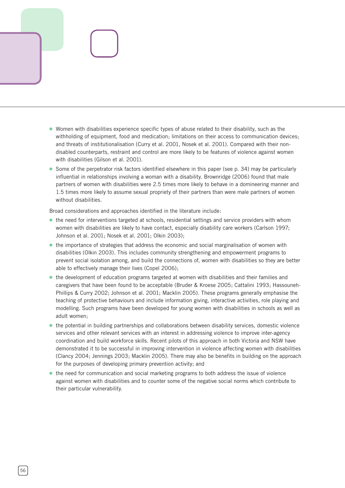- Women with disabilities experience specific types of abuse related to their disability, such as the withholding of equipment, food and medication; limitations on their access to communication devices; and threats of institutionalisation (Curry et al. 2001, Nosek et al. 2001). Compared with their nondisabled counterparts, restraint and control are more likely to be features of violence against women with disabilities (Gilson et al. 2001).
- Some of the perpetrator risk factors identified elsewhere in this paper (see p. 34) may be particularly influential in relationships involving a woman with a disability. Brownridge (2006) found that male partners of women with disabilities were 2.5 times more likely to behave in a domineering manner and 1.5 times more likely to assume sexual propriety of their partners than were male partners of women without disabilities.

Broad considerations and approaches identified in the literature include:

- the need for interventions targeted at schools, residential settings and service providers with whom women with disabilities are likely to have contact, especially disability care workers (Carlson 1997; Johnson et al. 2001; Nosek et al. 2001; Olkin 2003);
- the importance of strategies that address the economic and social marginalisation of women with disabilities (Olkin 2003). This includes community strengthening and empowerment programs to prevent social isolation among, and build the connections of, women with disabilities so they are better able to effectively manage their lives (Copel 2006);
- the development of education programs targeted at women with disabilities and their families and caregivers that have been found to be acceptable (Bruder & Kroese 2005; Cattalini 1993; Hassouneh-Phillips & Curry 2002; Johnson et al. 2001; Macklin 2005). These programs generally emphasise the teaching of protective behaviours and include information giving, interactive activities, role playing and modelling. Such programs have been developed for young women with disabilities in schools as well as adult women;
- the potential in building partnerships and collaborations between disability services, domestic violence services and other relevant services with an interest in addressing violence to improve inter-agency coordination and build workforce skills. Recent pilots of this approach in both Victoria and NSW have demonstrated it to be successful in improving intervention in violence affecting women with disabilities (Clancy 2004; Jennings 2003; Macklin 2005). There may also be benefits in building on the approach for the purposes of developing primary prevention activity; and
- the need for communication and social marketing programs to both address the issue of violence against women with disabilities and to counter some of the negative social norms which contribute to their particular vulnerability.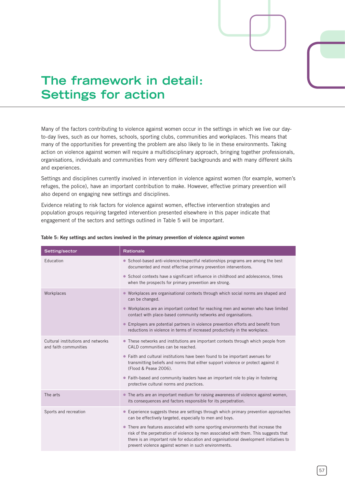# **The framework in detail: Settings for action**

Many of the factors contributing to violence against women occur in the settings in which we live our dayto-day lives, such as our homes, schools, sporting clubs, communities and workplaces. This means that many of the opportunities for preventing the problem are also likely to lie in these environments. Taking action on violence against women will require a multidisciplinary approach, bringing together professionals, organisations, individuals and communities from very different backgrounds and with many different skills and experiences.

Settings and disciplines currently involved in intervention in violence against women (for example, women's refuges, the police), have an important contribution to make. However, effective primary prevention will also depend on engaging new settings and disciplines.

Evidence relating to risk factors for violence against women, effective intervention strategies and population groups requiring targeted intervention presented elsewhere in this paper indicate that engagement of the sectors and settings outlined in Table 5 will be important.

| Setting/sector                                              | <b>Rationale</b>                                                                                                                                                                                                                                                                                                            |  |
|-------------------------------------------------------------|-----------------------------------------------------------------------------------------------------------------------------------------------------------------------------------------------------------------------------------------------------------------------------------------------------------------------------|--|
| Education                                                   | • School-based anti-violence/respectful relationships programs are among the best<br>documented and most effective primary prevention interventions.                                                                                                                                                                        |  |
|                                                             | • School contexts have a significant influence in childhood and adolescence, times<br>when the prospects for primary prevention are strong.                                                                                                                                                                                 |  |
| Workplaces                                                  | • Workplaces are organisational contexts through which social norms are shaped and<br>can be changed.                                                                                                                                                                                                                       |  |
|                                                             | • Workplaces are an important context for reaching men and women who have limited<br>contact with place-based community networks and organisations.                                                                                                                                                                         |  |
|                                                             | • Employers are potential partners in violence prevention efforts and benefit from<br>reductions in violence in terms of increased productivity in the workplace.                                                                                                                                                           |  |
| Cultural institutions and networks<br>and faith communities | • These networks and institutions are important contexts through which people from<br>CALD communities can be reached.                                                                                                                                                                                                      |  |
|                                                             | • Faith and cultural institutions have been found to be important avenues for<br>transmitting beliefs and norms that either support violence or protect against it<br>(Flood & Pease 2006).                                                                                                                                 |  |
|                                                             | • Faith-based and community leaders have an important role to play in fostering<br>protective cultural norms and practices.                                                                                                                                                                                                 |  |
| The arts                                                    | • The arts are an important medium for raising awareness of violence against women,<br>its consequences and factors responsible for its perpetration.                                                                                                                                                                       |  |
| Sports and recreation                                       | • Experience suggests these are settings through which primary prevention approaches<br>can be effectively targeted, especially to men and boys.                                                                                                                                                                            |  |
|                                                             | • There are features associated with some sporting environments that increase the<br>risk of the perpetration of violence by men associated with them. This suggests that<br>there is an important role for education and organisational development initiatives to<br>prevent violence against women in such environments. |  |
|                                                             |                                                                                                                                                                                                                                                                                                                             |  |

#### **Table 5: Key settings and sectors involved in the primary prevention of violence against women**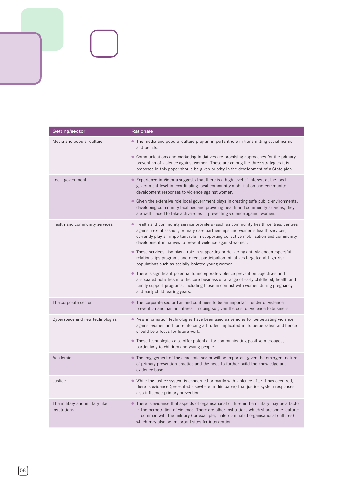| Setting/sector                                 | Rationale                                                                                                                                                                                                                                                                                                                         |
|------------------------------------------------|-----------------------------------------------------------------------------------------------------------------------------------------------------------------------------------------------------------------------------------------------------------------------------------------------------------------------------------|
| Media and popular culture                      | • The media and popular culture play an important role in transmitting social norms<br>and beliefs.                                                                                                                                                                                                                               |
|                                                | • Communications and marketing initiatives are promising approaches for the primary<br>prevention of violence against women. These are among the three strategies it is<br>proposed in this paper should be given priority in the development of a State plan.                                                                    |
| Local government                               | • Experience in Victoria suggests that there is a high level of interest at the local<br>government level in coordinating local community mobilisation and community<br>development responses to violence against women.                                                                                                          |
|                                                | • Given the extensive role local government plays in creating safe public environments,<br>developing community facilities and providing health and community services, they<br>are well placed to take active roles in preventing violence against women.                                                                        |
| Health and community services                  | • Health and community service providers (such as community health centres, centres<br>against sexual assault, primary care partnerships and women's health services)<br>currently play an important role in supporting collective mobilisation and community<br>development initiatives to prevent violence against women.       |
|                                                | • These services also play a role in supporting or delivering anti-violence/respectful<br>relationships programs and direct participation initiatives targeted at high-risk<br>populations such as socially isolated young women.                                                                                                 |
|                                                | • There is significant potential to incorporate violence prevention objectives and<br>associated activities into the core business of a range of early childhood, health and<br>family support programs, including those in contact with women during pregnancy<br>and early child rearing years.                                 |
| The corporate sector                           | • The corporate sector has and continues to be an important funder of violence<br>prevention and has an interest in doing so given the cost of violence to business.                                                                                                                                                              |
| Cyberspace and new technologies                | • New information technologies have been used as vehicles for perpetrating violence<br>against women and for reinforcing attitudes implicated in its perpetration and hence<br>should be a focus for future work.                                                                                                                 |
|                                                | • These technologies also offer potential for communicating positive messages,<br>particularly to children and young people.                                                                                                                                                                                                      |
| Academic                                       | • The engagement of the academic sector will be important given the emergent nature<br>of primary prevention practice and the need to further build the knowledge and<br>evidence base.                                                                                                                                           |
| Justice                                        | • While the justice system is concerned primarily with violence after it has occurred,<br>there is evidence (presented elsewhere in this paper) that justice system responses<br>also influence primary prevention.                                                                                                               |
| The military and military-like<br>institutions | • There is evidence that aspects of organisational culture in the military may be a factor<br>in the perpetration of violence. There are other institutions which share some features<br>in common with the military (for example, male-dominated organisational cultures)<br>which may also be important sites for intervention. |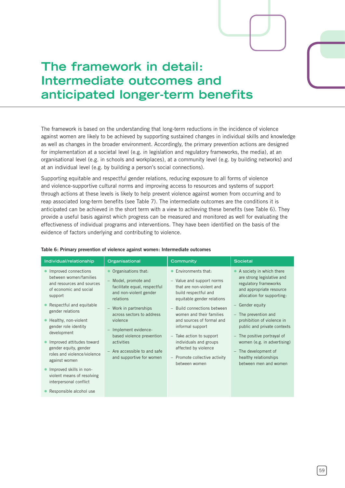# **The framework in detail: Intermediate outcomes and anticipated longer-term benefits**

The framework is based on the understanding that long-term reductions in the incidence of violence against women are likely to be achieved by supporting sustained changes in individual skills and knowledge as well as changes in the broader environment. Accordingly, the primary prevention actions are designed for implementation at a societal level (e.g. in legislation and regulatory frameworks, the media), at an organisational level (e.g. in schools and workplaces), at a community level (e.g. by building networks) and at an individual level (e.g. by building a person's social connections).

Supporting equitable and respectful gender relations, reducing exposure to all forms of violence and violence-supportive cultural norms and improving access to resources and systems of support through actions at these levels is likely to help prevent violence against women from occurring and to reap associated long-term benefits (see Table 7). The intermediate outcomes are the conditions it is anticipated can be achieved in the short term with a view to achieving these benefits (see Table 6). They provide a useful basis against which progress can be measured and monitored as well for evaluating the effectiveness of individual programs and interventions. They have been identified on the basis of the evidence of factors underlying and contributing to violence.

| Individual/relationship                                                                                                                                                                                                                                                                                                                                                                                                                             | Organisational                                                                                                                                                                                                                                                                                                        | Community                                                                                                                                                                                                                                                                                                                                                                         | <b>Societal</b>                                                                                                                                                                                                                                                                                                                                                                           |
|-----------------------------------------------------------------------------------------------------------------------------------------------------------------------------------------------------------------------------------------------------------------------------------------------------------------------------------------------------------------------------------------------------------------------------------------------------|-----------------------------------------------------------------------------------------------------------------------------------------------------------------------------------------------------------------------------------------------------------------------------------------------------------------------|-----------------------------------------------------------------------------------------------------------------------------------------------------------------------------------------------------------------------------------------------------------------------------------------------------------------------------------------------------------------------------------|-------------------------------------------------------------------------------------------------------------------------------------------------------------------------------------------------------------------------------------------------------------------------------------------------------------------------------------------------------------------------------------------|
| Improved connections<br>between women/families<br>and resources and sources<br>of economic and social<br>support<br>Respectful and equitable<br>gender relations<br>Healthy, non-violent<br>gender role identity<br>development<br>Improved attitudes toward<br>gender equity, gender<br>roles and violence/violence<br>against women<br>Improved skills in non-<br>violent means of resolving<br>interpersonal conflict<br>Responsible alcohol use | Organisations that:<br>- Model, promote and<br>facilitate equal, respectful<br>and non-violent gender<br>relations<br>- Work in partnerships<br>across sectors to address<br>violence<br>- Implement evidence-<br>based violence prevention<br>activities<br>- Are accessible to and safe<br>and supportive for women | • Environments that:<br>- Value and support norms<br>that are non-violent and<br>build respectful and<br>equitable gender relations<br>- Build connections between<br>women and their families<br>and sources of formal and<br>informal support<br>- Take action to support<br>individuals and groups<br>affected by violence<br>$-$ Promote collective activity<br>between women | A society in which there<br>are strong legislative and<br>regulatory frameworks<br>and appropriate resource<br>allocation for supporting:<br>- Gender equity<br>- The prevention and<br>prohibition of violence in<br>public and private contexts<br>- The positive portrayal of<br>women (e.g. in advertising)<br>- The development of<br>healthy relationships<br>between men and women |

#### **Table 6: Primary prevention of violence against women: Intermediate outcomes**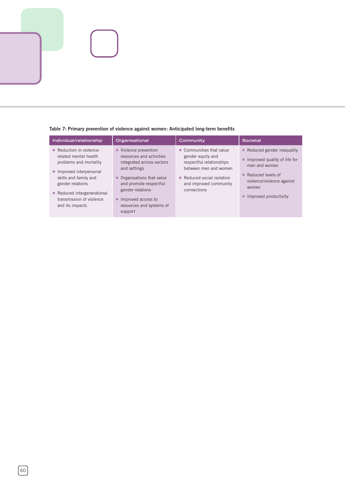

| Individual/relationship                                                                                                                                                                                                            | Organisational                                                                                                                                                                                                                                     | Community                                                                                                                                                                 | Societal                                                                                                                                                                                                           |
|------------------------------------------------------------------------------------------------------------------------------------------------------------------------------------------------------------------------------------|----------------------------------------------------------------------------------------------------------------------------------------------------------------------------------------------------------------------------------------------------|---------------------------------------------------------------------------------------------------------------------------------------------------------------------------|--------------------------------------------------------------------------------------------------------------------------------------------------------------------------------------------------------------------|
| • Reduction in violence-<br>related mental health<br>problems and mortality<br>• Improved interpersonal<br>skills and family and<br>gender relations<br>• Reduced intergenerational<br>transmission of violence<br>and its impacts | Violence prevention<br>$\bullet$<br>resources and activities<br>integrated across sectors<br>and settings<br>Organisations that value<br>and promote respectful<br>gender relations<br>• Improved access to<br>resources and systems of<br>support | • Communities that value<br>gender equity and<br>respectful relationships<br>between men and women<br>• Reduced social isolation<br>and improved community<br>connections | Reduced gender inequality<br>$\bullet$<br>Improved quality of life for<br>$\bullet$<br>men and women<br>Reduced levels of<br>$\bullet$<br>violence/violence against<br>women<br>Improved productivity<br>$\bullet$ |

### **Table 7: Primary prevention of violence against women: Anticipated long-term benefits**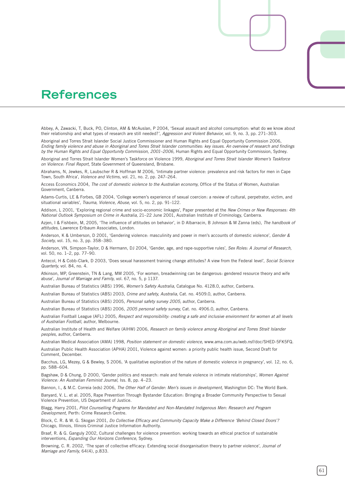# **References**

Abbey, A, Zawacki, T, Buck, PO, Clinton, AM & McAuslan, P 2004, 'Sexual assault and alcohol consumption: what do we know about their relationship and what types of research are still needed?', *Aggression and Violent Behavior,* vol. 9, no. 3, pp. 271–303.

Aboriginal and Torres Strait Islander Social Justice Commissioner and Human Rights and Equal Opportunity Commission 2006, *Ending family violence and abuse in Aboriginal and Torres Strait Islander communities: key issues. An overview of research and findings by the Human Rights and Equal Opportunity Commission, 2001–2006,* Human Rights and Equal Opportunity Commission, Sydney.

Aboriginal and Torres Strait Islander Women's Taskforce on Violence 1999, *Aboriginal and Torres Strait Islander Women's Taskforce on Violence: Final Report,* State Government of Queensland, Brisbane.

Abrahams, N, Jewkes, R, Laubscher R & Hoffman M 2006, 'Intimate partner violence: prevalence and risk factors for men in Cape Town, South Africa', *Violence and Victims,* vol. 21, no. 2, pp. 247–264.

Access Economics 2004, *The cost of domestic violence to the Australian economy,* Office of the Status of Women, Australian Government, Canberra.

Adams-Curtis, LE & Forbes, GB 2004, 'College women's experience of sexual coercion: a review of cultural, perpetrator, victim, and situational variables', *Trauma, Violence, Abuse,* vol. 5, no. 2, pp. 91–122.

Addison, L 2001, 'Exploring regional crime and socio-economic linkages', Paper presented at the *New Crimes or New Responses: 4th National Outlook Symposium on Crime in Australia,* 21–22 June 2001, Australian Institute of Criminology, Canberra.

Azjen, I & Fishbein, M, 2005, 'The influence of attitudes on behavior', in D Albarracin, B Johnson & M Zanna (eds), *The handbook of attitudes,* Lawrence Erlbaum Associates, London.

Anderson, K & Umberson, D 2001, 'Gendering violence: masculinity and power in men's accounts of domestic violence', *Gender & Society,* vol. 15, no. 3, pp. 358–380.

Anderson, VN, Simpson-Taylor, D & Hermann, DJ 2004, 'Gender, age, and rape-supportive rules', *Sex Roles: A Journal of Research,* vol. 50, no. 1–2, pp. 77–90.

Antecol, H & Cobb-Clark, D 2003, 'Does sexual harassment training change attitudes? A view from the Federal level', *Social Science Quarterly,* vol. 84, no. 4.

Atkinson, MP, Greenstein, TN & Lang, MM 2005, 'For women, breadwinning can be dangerous: gendered resource theory and wife abuse', *Journal of Marriage and Family,* vol. 67, no. 5, p 1137.

Australian Bureau of Statistics (ABS) 1996, *Women's Safety Australia,* Catalogue No. 4128.0, author, Canberra.

Australian Bureau of Statistics (ABS) 2003, *Crime and safety, Australia,* Cat. no. 4509.0, author, Canberra.

Australian Bureau of Statistics (ABS) 2005, *Personal safety survey 2005,* author, Canberra.

Australian Bureau of Statistics (ABS) 2006, *2005 personal safety survey,* Cat. no. 4906.0, author, Canberra.

Australian Football League (AFL) 2005, *Respect and responsibility: creating a safe and inclusive environment for women at all levels of Australian Football,* author, Melbourne.

Australian Institute of Health and Welfare (AIHW) 2006, *Research on family violence among Aboriginal and Torres Strait Islander peoples,* author, Canberra.

Australian Medical Association (AMA) 1998, *Position statement on domestic violence,* www.ama.com.au/web.nsf/doc/SHED-5FK5FQ.

Australian Public Health Association (APHA) 2001, Violence against women: a priority public health issue, Second Draft for Comment, December.

Bacchus, LG, Mezey, G & Bewley, S 2006, 'A qualitative exploration of the nature of domestic violence in pregnancy', vol. 12, no. 6, pp. 588–604.

Bagshaw, D & Chung, D 2000, 'Gender politics and research: male and female violence in intimate relationships', *Women Against Violence: An Australian Feminist Journal,* Iss. 8, pp. 4–23.

Bannon, I., & M.C. Correia (eds) 2006, *The Other Half of Gender: Men's issues in development,* Washington DC: The World Bank.

Banyard, V. L. et al. 2005, Rape Prevention Through Bystander Education: Bringing a Broader Community Perspective to Sexual Violence Prevention, US Department of Justice.

Blagg, Harry 2001, *Pilot Counselling Programs for Mandated and Non-Mandated Indigenous Men: Research and Program Development,* Perth: Crime Research Centre.

Block, C. R. & W. G. Skogan 2001, *Do Collective Efficacy and Community Capacity Make a Difference 'Behind Closed Doors'?* Chicago, Illinois, Illinois Criminal Justice Information Authority.

Braaf, R. & G. Ganguly 2002, Cultural challenges for violence prevention: working towards an ethical practice of sustainable interventions, *Expanding Our Horizons Conference,* Sydney.

Browning, C. R. 2002, 'The span of collective efficacy: Extending social disorganisation theory to partner violence', *Journal of Marriage and Family,* 64(4), p.833.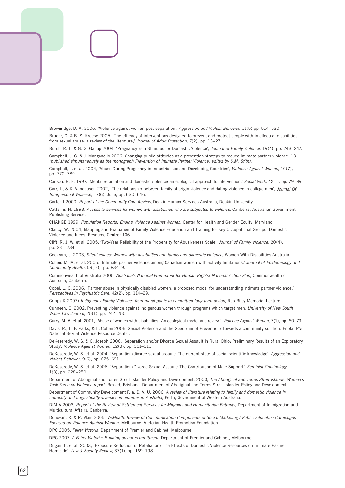Brownridge, D. A. 2006, 'Violence against women post-separation', *Aggression and Violent Behavior,* 11(5),pp. 514–530. Bruder, C. & B. S. Kroese 2005, 'The efficacy of interventions designed to prevent and protect people with intellectual disabilities from sexual abuse: a review of the literature,' *Journal of Adult Protection,* 7(2), pp. 13–27.

Burch, R. L. & G. G. Gallup 2004, 'Pregnancy as a Stimulus for Domestic Violence', *Journal of Family Violence,* 19(4), pp. 243–247. Campbell, J. C. & J. Manganello 2006, Changing public attitudes as a prevention strategy to reduce intimate partner violence. 13 *(published simultaneously as the monograph Prevention of Intimate Partner Violence, edited by S.M. Stith).*

Campbell, J. et al. 2004, 'Abuse During Pregnancy in Industrialised and Developing Countries', *Violence Against Women,* 10(7), pp. 770–789.

Carlson, B. E. 1997, 'Mental retardation and domestic violence: an ecological approach to intervention,' *Social Work,* 42(1), pp. 79–89. Carr, J., & K. Vandeusen 2002, 'The relationship between family of origin violence and dating violence in college men', *Journal Of* 

*Interpersonal Violence,* 17(6), June, pp. 630–646.

Carter J 2000, *Report of the Community Care Review,* Deakin Human Services Australia, Deakin University.

Cattalini, H. 1993, *Access to services for women with disabilities who are subjected to violence,* Canberra, Australian Government Publishing Service.

CHANGE 1999, *Population Reports: Ending Violence Against Women,* Center for Health and Gender Equity, Maryland.

Clancy, W. 2004, Mapping and Evaluation of Family Violence Education and Training for Key Occupational Groups, Domestic Violence and Incest Resource Centre: 106.

Clift, R. J. W. et al. 2005, 'Two-Year Reliability of the Propensity for Abusiveness Scale', *Journal of Family Violence,* 20(4), pp. 231–234.

Cockram, J. 2003, *Silent voices: Women with disabilities and family and domestic violence,* Women With Disabilities Australia.

Cohen, M. M. et al. 2005, 'Intimate partner violence among Canadian women with activity limitations,' *Journal of Epidemiology and Community Health,* 59(10), pp. 834–9.

Commonwealth of Australia 2005, *Australia's National Framework for Human Rights: National Action Plan,* Commonwealth of Australia, Canberra.

Copel, L. C. 2006, 'Partner abuse in physically disabled women: a proposed model for understanding intimate partner violence,' *Perspectives in Psychiatric Care,* 42(2), pp. 114–29.

Cripps K 2007) *Indigenous Family Violence: from moral panic to committed long term action,* Rob Riley Memorial Lecture.

Cunneen, C. 2002, Preventing violence against Indigenous women through programs which target men, *University of New South Wales Law Journal,* 25(1), pp. 242–250.

Curry, M. A. et al. 2001, 'Abuse of women with disabilities: An ecological model and review', *Violence Against Women,* 7(1), pp. 60–79.

Davis, R., L. F. Parks, & L. Cohen 2006, Sexual Violence and the Spectrum of Prevention: Towards a community solution. Enola, PA: National Sexual Violence Resource Center.

DeKeseredy, W. S. & C. Joseph 2006, 'Separation and/or Divorce Sexual Assault in Rural Ohio: Preliminary Results of an Exploratory Study', *Violence Against Women,* 12(3), pp. 301–311.

DeKeseredy, W. S. et al. 2004, 'Separation/divorce sexual assault: The current state of social scientific knowledge', *Aggression and Violent Behavior,* 9(6), pp. 675–691.

DeKeseredy, W. S. et al. 2006, 'Separation/Divorce Sexual Assault: The Contribution of Male Support', *Feminist Criminology,* 1(3), pp. 228–250.

Department of Aboriginal and Torres Strait Islander Policy and Development, 2000, *The Aboriginal and Torres Strait Islander Women's Task Force on Violence report,* Rev ed, Brisbane, Department of Aboriginal and Torres Strait Islander Policy and Development.

Department of Community Development F. a. D. V. U. 2006, *A review of literature relating to family and domestic violence in culturally and linguistically diverse communities in Australia,* Perth, Government of Western Australia.

DIMIA 2003, Report of the Review of Settlement Services for Migrants and Humanitarian Entrants, Department of Immigration and Multicultural Affairs, Canberra.

Donovan, R. & R. Vlais 2005, *VicHealth Review of Communication Components of Social Marketing / Public Education Campaigns Focused on Violence Against Women,* Melbourne, Victorian Health Promotion Foundation.

DPC 2005, *Fairer Victoria,* Department of Premier and Cabinet, Melbourne.

DPC 2007, *A Fairer Victoria: Building on our commitment,* Department of Premier and Cabinet, Melbourne.

Dugan, L. et al. 2003, 'Exposure Reduction or Retaliation? The Effects of Domestic Violence Resources on Intimate-Partner Homicide', *Law & Society Review,* 37(1), pp. 169–198.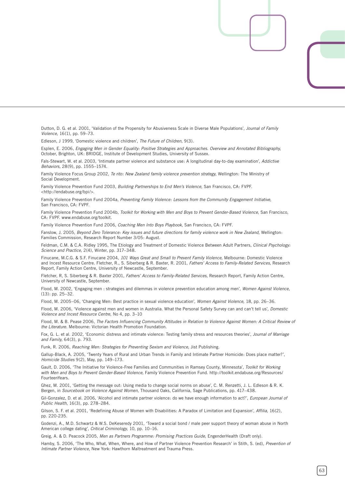Dutton, D. G. et al. 2001, 'Validation of the Propensity for Abusiveness Scale in Diverse Male Populations', *Journal of Family Violence,* 16(1), pp. 59–73.

Edleson, J 1999, 'Domestic violence and children', *The Future of Children,* 9(3).

Esplen, E. 2006, *Engaging Men in Gender Equality: Positive Strategies and Approaches. Overview and Annotated Bibliography,* October, Brighton, UK: BRIDGE, Institute of Development Studies, University of Sussex.

Fals-Stewart, W. et al. 2003, 'Intimate partner violence and substance use: A longitudinal day-to-day examination', *Addictive Behaviors,* 28(9), pp. 1555–1574.

Family Violence Focus Group 2002, *Te rito: New Zealand family violence prevention strategy,* Wellington: The Ministry of Social Development.

Family Violence Prevention Fund 2003, *Building Partnerships to End Men's Violence,* San Francisco, CA: FVPF. <http://endabuse.org/bpi/>.

Family Violence Prevention Fund 2004a, *Preventing Family Violence: Lessons from the Community Engagement Initiative,* San Francisco, CA: FVPF.

Family Violence Prevention Fund 2004b, *Toolkit for Working with Men and Boys to Prevent Gender-Based Violence,* San Francisco, CA: FVPF. www.endabuse.org/toolkit.

Family Violence Prevention Fund 2006, *Coaching Men Into Boys Playbook,* San Francisco, CA: FVPF.

Fanslow, J. 2005, *Beyond Zero Tolerance: Key issues and future directions for family violence work in New Zealand,* Wellington: Families Commission, Research Report Number 3/05: August.

Feldman, C.M. & C.A. Ridley 1995, The Etiology and Treatment of Domestic Violence Between Adult Partners, *Clinical Psychology: Science and Practice,* 2(4), Winter, pp. 317–348.

Finucane, M.C.G. & S.F. Finucane 2004, *101 Ways Great and Small to Prevent Family Violence,* Melbourne: Domestic Violence and Incest Resource Centre. Fletcher, R., S. Siberberg & R. Baxter, R. 2001, *Fathers' Access to Family-Related Services,* Research Report, Family Action Centre, University of Newcastle, September.

Fletcher, R, S. Siberberg & R. Baxter 2001, *Fathers' Access to Family-Related Services,* Research Report, Family Action Centre, University of Newcastle, September.

Flood, M. 2002, 'Engaging men : strategies and dilemmas in violence prevention education among men', *Women Against Violence,* (13): pp. 25–32.

Flood, M. 2005–06, 'Changing Men: Best practice in sexual violence education', *Women Against Violence,* 18, pp. 26–36.

Flood, M. 2006, 'Violence against men and women in Australia. What the Personal Safety Survey can and can't tell us', *Domestic Violence and Incest Resource Centre,* No 4, pp. 3–10

Flood, M. & B. Pease 2006, *The Factors Influencing Community Attitudes in Relation to Violence Against Women: A Critical Review of the Literature.* Melbourne: Victorian Health Promotion Foundation.

Fox, G. L. et al. 2002, 'Economic distress and intimate violence: Testing family stress and resources theories', *Journal of Marriage and Family,* 64(3), p. 793.

Funk, R. 2006, *Reaching Men: Strategies for Preventing Sexism and Violence,* Jist Publishing.

Gallup-Black, A. 2005, 'Twenty Years of Rural and Urban Trends in Family and Intimate Partner Homicide: Does place matter?', *Homicide Studies* 9(2), May, pp. 149–173.

Gault, D. 2006, 'The Initiative for Violence-Free Families and Communities in Ramsey County, Minnesota', *Toolkit for Working with Men and Boys to Prevent Gender-Based Violence,* Family Violence Prevention Fund. http://toolkit.endabuse.org/Resources/ FourteenYears.

Ghez, M. 2001, 'Getting the message out: Using media to change social norms on abuse', C. M. Renzetti, J. L. Edleson & R. K. Bergen, in *Sourcebook on Violence Against Women,* Thousand Oaks, California, Sage Publications, pp. 417–438.

Gil-Gonzalez, D. et al. 2006, 'Alcohol and intimate partner violence: do we have enough information to act?', *European Journal of Public Health,* 16(3), pp. 278–284.

Gilson, S. F. et al. 2001, 'Redefining Abuse of Women with Disabilities: A Paradox of Limitation and Expansion', *Affilia,* 16(2), pp. 220-235.

Godenzi, A., M.D. Schwartz & W.S. DeKeseredy 2001, 'Toward a social bond / male peer support theory of woman abuse in North American college dating', *Critical Criminology,* 10, pp. 10–16.

Greig, A. & D. Peacock 2005, *Men as Partners Programme: Promising Practices Guide,* EngenderHealth (Draft only).

Hamby, S. 2006, 'The Who, What, When, Where, and How of Partner Violence Prevention Research' in Stith, S. (ed), *Prevention of Intimate Partner Violence,* New York: Hawthorn Maltreatment and Trauma Press.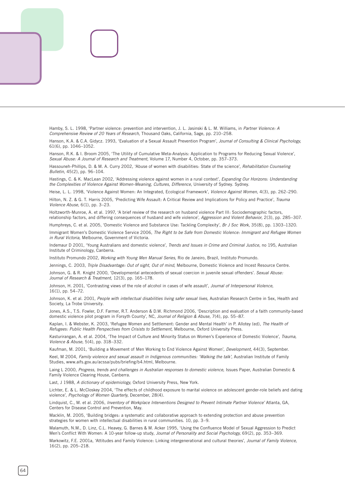Hamby, S. L. 1998, 'Partner violence: prevention and intervention, J. L. Jasinski & L. M. Williams, in *Partner Violence: A Comprehensive Review of 20 Years of Research,* Thousand Oaks, California, Sage, pp. 210–258.

Hanson, K.A. & C.A. Gidycz. 1993, 'Evaluation of a Sexual Assault Prevention Program', *Journal of Consulting & Clinical Psychology,* 61(6), pp. 1046–1052.

Hanson, R.K. & I. Broom 2005, 'The Utility of Cumulative Meta-Analysis: Application to Programs for Reducing Sexual Violence', *Sexual Abuse: A Journal of Research and Treatment,* Volume 17, Number 4, October, pp. 357–373.

Hassouneh-Phillips, D. & M. A. Curry 2002, 'Abuse of women with disabilities: State of the science', *Rehabilitation Counseling Bulletin,* 45(2), pp. 96–104.

Hastings, C. & K. MacLean 2002, 'Addressing violence against women in a rural context', *Expanding Our Horizons: Understanding the Complexities of Violence Against Women-Meaning, Cultures, Difference,* University of Sydney. Sydney.

Heise, L. L. 1998, 'Violence Against Women: An Integrated, Ecological Framework', *Violence Against Women,* 4(3), pp. 262–290.

Hilton, N. Z. & G. T. Harris 2005, 'Predicting Wife Assault: A Critical Review and Implications for Policy and Practice', *Trauma Violence Abuse,* 6(1), pp. 3–23.

Holtzworth-Munroe, A. et al. 1997, 'A brief review of the research on husband violence Part III: Sociodemographic factors, relationship factors, and differing consequences of husband and wife violence', *Aggression and Violent Behavior,* 2(3), pp. 285–307.

Humphreys, C. et al. 2005, 'Domestic Violence and Substance Use: Tackling Complexity', *Br J Soc Work,* 35(8), pp. 1303–1320.

Immigrant Women's Domestic Violence Service 2006, *The Right to be Safe from Domestic Violence: Immigrant and Refugee Women in Rural Victoria,* Melbourne, Government of Victoria.

Indemaur D 2001, 'Young Australians and domestic violence', *Trends and Issues in Crime and Criminal Justice,* no 195, Australian Institute of Criminology, Canberra.

Instituto Promundo 2002, *Working with Young Men Manual Series,* Rio de Janeiro, Brazil, Instituto Promundo.

Jennings, C. 2003, *Triple Disadvantage: Out of sight, Out of mind,* Melbourne, Domestic Violence and Incest Resource Centre.

Johnson, G. & R. Knight 2000, 'Developmental antecedents of sexual coercion in juvenile sexual offenders'. *Sexual Abuse: Journal of Research & Treatment,* 12(3), pp. 165–178.

Johnson, H. 2001, 'Contrasting views of the role of alcohol in cases of wife assault', *Journal of Interpersonal Violence,* 16(1), pp. 54–72.

Johnson, K. et al. 2001, *People with intellectual disabilities living safer sexual lives,* Australian Research Centre in Sex, Health and Society, La Trobe University.

Jones, A.S., T.S. Fowler, D.F. Farmer, R.T. Anderson & D.W. Richmond 2006, 'Description and evaluation of a faith community-based domestic violence pilot program in Forsyth County', NC, *Journal of Religion & Abuse,* 7(4), pp. 55–87.

Kaplan, I. & Webster, K. 2003, 'Refugee Women and Settlement: Gender and Mental Health' in P. Allotey (ed), *The Health of Refugees: Public Health Perspectives from Crisists to Settlement,* Melbourne, Oxford University Press.

Kasturirangan, A. et al. 2004, 'The Impact of Culture and Minority Status on Women's Experience of Domestic Violence', *Trauma, Violence & Abuse,* 5(4), pp. 318–332.

Kaufman, M. 2001, 'Building a Movement of Men Working to End Violence Against Women', *Development,* 44(3), September.

Keel, M 2004, *Family violence and sexual assault in Indigenous communities: 'Walking the talk',* Australian Institute of Family Studies, www.aifs.gov.au/acssa/pubs/briefing/b4.html, Melbourne.

Laing L 2000, *Progress, trends and challenges in Australian responses to domestic violence,* Issues Paper, Australian Domestic & Family Violence Clearing House, Canberra.

Last, J 1988, *A dictionary of epidemiology,* Oxford University Press, New York.

Lichter, E. & L. McCloskey 2004, 'The effects of childhood exposure to marital violence on adolescent gender-role beliefs and dating violence', *Psychology of Women Quarterly,* December, 28(4).

Lindquist, C., M. et al. 2006, *Inventory of Workplace Interventions Designed to Prevent Intimate Partner Violence'* Atlanta, GA, Centers for Disease Control and Prevention, May.

Macklin, M. 2005, 'Building bridges: a systematic and collaborative approach to extending protection and abuse prevention strategies for women with intellectual disabilities in rural communities. 10, pp. 3–9.

Malamuth, N.M., D. Linz, C.L. Heavey, G. Barnes & M. Acker 1995, 'Using the Confluence Model of Sexual Aggression to Predict Men's Conflict With Women: A 10-year follow-up study, *Journal of Personality and Social Psychology,* 69(2), pp. 353–369.

Markowitz, F.E. 2001a, 'Attitudes and Family Violence: Linking intergenerational and cultural theories', *Journal of Family Violence,* 16(2), pp. 205–218.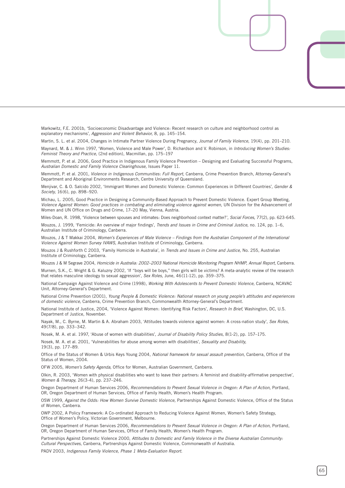Markowitz, F.E. 2001b, 'Socioeconomic Disadvantage and Violence: Recent research on culture and neighborhood control as explanatory mechanisms', *Aggression and Violent Behavior,* 8, pp. 145–154.

Martin, S. L. et al. 2004, Changes in Intimate Partner Violence During Pregnancy, *Journal of Family Violence,* 19(4), pp. 201–210.

Maynard, M. & J. Winn 1997, 'Women, Violence and Male Power', D. Richardson and V. Robinson, in *Introducing Women's Studies: Feminist Theory and Practice,* (2nd edition), Macmillan, pp. 175–197

Memmott, P. et al. 2006, Good Practice in Indigenous Family Violence Prevention – Designing and Evaluating Successful Programs, *Australian Domestic and Family Violence Clearinghouse,* Issues Paper 11.

Memmott, P. et al. 2001, *Violence in Indigenous Communities: Full Report,* Canberra, Crime Prevention Branch, Attorney-General's Department and Aboriginal Environments Research, Centre University of Queensland.

Menjivar, C. & O. Salcido 2002, 'Immigrant Women and Domestic Violence: Common Experiences in Different Countries', *Gender & Society,* 16(6), pp. 898–920.

Michau, L. 2005, Good Practice in Designing a Community-Based Approach to Prevent Domestic Violence. Expert Group Meeting, *Violence Against Women: Good practices in combating and eliminating violence against women,* UN Division for the Advancement of Women and UN Office on Drugs and Crime, 17–20 May, Vienna, Austria.

Miles-Doan, R. 1998, 'Violence between spouses and intimates: Does neighborhood context matter?', *Social Forces,* 77(2), pp. 623-645.

Mouzos, J. 1999, 'Femicide: An overview of major findings', *Trends and Issues in Crime and Criminal Justice,* no. 124, pp. 1–6, Australian Institute of Criminology, Canberra.

Mouzos, J & T Makkai 2004, *Women's Experiences of Male Violence – Findings from the Australian Component of the International Violence Against Women Survey IVAWS,* Australian Institute of Criminology, Canberra.

Mouzos J & Rushforth C 2003, 'Family Homicide in Australia', in *Trends and Issues in Crime and Justice,* No. 255, Australian Institute of Criminology, Canberra.

Mouzos J & M Segrave 2004, *Homicide in Australia: 2002–2003 National Homicide Monitoring Program NHMP, Annual Report,* Canberra.

Murnen, S.K., C. Wright & G. Kaluzny 2002, 'If "boys will be boys," then girls will be victims? A meta-analytic review of the research that relates masculine ideology to sexual aggression', *Sex Roles,* June, 46(11-12), pp. 359–375.

National Campaign Against Violence and Crime (1998), *Working With Adolescents to Prevent Domestic Violence,* Canberra, NCAVAC Unit, Attorney-General's Department.

National Crime Prevention (2001), *Young People & Domestic Violence: National research on young people's attitudes and experiences of domestic violence,* Canberra, Crime Prevention Branch, Commonwealth Attorney-General's Department.

National Institute of Justice, 2004, 'Violence Against Women: Identifying Risk Factors', *Research In Brief,* Washington, DC, U.S. Department of Justice, November.

Nayak, M., C. Byrne, M. Martin & A. Abraham 2003, 'Attitudes towards violence against women: A cross-nation study', *Sex Roles,* 49(7/8), pp. 333–342.

Nosek, M. A. et al. 1997, 'Abuse of women with disabilities', *Journal of Disability Policy Studies,* 8(1-2), pp. 157–175.

Nosek, M. A. et al. 2001, 'Vulnerabilities for abuse among women with disabilities', *Sexuality and Disability,* 19(3), pp. 177–89.

Office of the Status of Women & Urbis Keys Young 2004, *National framework for sexual assault prevention,* Canberra, Office of the Status of Women, 2004.

OFW 2005, *Women's Safety Agenda,* Office for Women, Australian Government, Canberra.

Olkin, R. 2003, 'Women with physical disabilities who want to leave their partners: A feminist and disability-affirmative perspective', *Women & Therapy,* 26(3-4), pp. 237–246.

Oregon Department of Human Services 2006, *Recommendations to Prevent Sexual Violence in Oregon: A Plan of Action,* Portland, OR, Oregon Department of Human Services, Office of Family Health, Women's Health Program.

OSW 1999, *Against the Odds: How Women Survive Domestic Violence,* Partnerships Against Domestic Violence, Office of the Status of Women, Canberra.

OWP 2002, A Policy Framework: A Co-ordinated Approach to Reducing Violence Against Women, Women's Safety Strategy, Office of Women's Policy, Victorian Government, Melbourne.

Oregon Department of Human Services 2006, *Recommendations to Prevent Sexual Violence in Oregon: A Plan of Action,* Portland, OR, Oregon Department of Human Services, Office of Family Health, Women's Health Program.

Partnerships Against Domestic Violence 2000, *Attitudes to Domestic and Family Violence in the Diverse Australian Community: Cultural Perspectives,* Canberra, Partnerships Against Domestic Violence, Commonwealth of Australia.

PADV 2003, *Indigenous Family Violence, Phase 1 Meta-Evaluation Report.*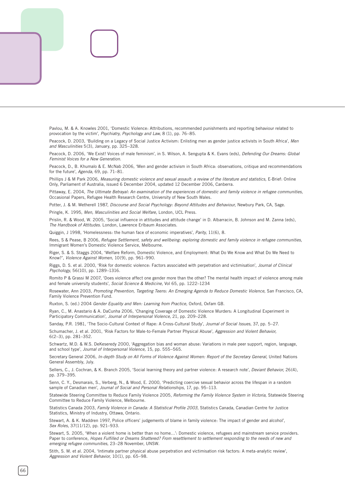Pavlou, M. & A. Knowles 2001, 'Domestic Violence: Attributions, recommended punishments and reporting behaviour related to provocation by the victim', *Psychiatry, Psychology and Law,* 8 (1), pp. 76–85.

Peacock, D. 2003, 'Building on a Legacy of Social Justice Activism: Enlisting men as gender justice activists in South Africa', *Men and Masculinities* 5(3), January, pp. 325–328.

Peacock, D. 2006, 'We Exist! Voices of male feminism', in S. Wilson, A. Sengupta & K. Evans (eds), *Defending Our Dreams: Global Feminist Voices for a New Generation.*

Peacock, D., B. Khumalo & E. McNab 2006, 'Men and gender activism in South Africa: observations, critique and recommendations for the future', *Agenda,* 69, pp. 71–81.

Phillips J & M Park 2006, *Measuring domestic violence and sexual assault: a review of the literature and statistics,* E-Brief: Online Only, Parliament of Australia, issued 6 December 2004, updated 12 December 2006, Canberra.

Pittaway, E. 2004, *The Ultimate Betrayal: An examination of the experiences of domestic and family violence in refugee communities,* Occasional Papers, Refugee Health Research Centre, University of New South Wales.

Potter, J. & M. Wetherell 1987, *Discourse and Social Psychology: Beyond Attitudes and Behaviour,* Newbury Park, CA, Sage.

Pringle, K. 1995, *Men, Masculinities and Social Welfare,* London, UCL Press.

Prislin, R. & Wood, W. 2005, 'Social influence in attitudes and attitude change' in D. Albarracin, B. Johnson and M. Zanna (eds), *The Handbook of Attitudes.* London, Lawrence Erlbaum Associates.

Quiggin, J 1998, 'Homelessness: the human face of economic imperatives', *Parity,* 11(6), 8.

Rees, S & Pease, B 2006, *Refugee Settlement, safety and wellbeing: exploring domestic and family violence in refugee communities,* Immigrant Women's Domestic Violence Service, Melbourne.

Riger, S. & S. Staggs 2004, 'Welfare Reform, Domestic Violence, and Employment: What Do We Know and What Do We Need to Know?', *Violence Against Women,* 10(9), pp. 961–990.

Riggs, D. S. et al. 2000, 'Risk for domestic violence: Factors associated with perpetration and victimisation', *Journal of Clinical Psychology,* 56(10), pp. 1289–1316.

Romito P & Grassi M 2007, 'Does violence affect one gender more than the other? The mental health impact of violence among male and female university students', *Social Science & Medicine,* Vol 65, pp. 1222–1234

Rosewater, Ann 2003, *Promoting Prevention, Targeting Teens: An Emerging Agenda to Reduce Domestic Violence,* San Francisco, CA, Family Violence Prevention Fund.

Ruxton, S. (ed.) 2004 *Gender Equality and Men: Learning from Practice,* Oxford, Oxfam GB.

Ryan, C., M. Anastario & A. DaCunha 2006, 'Changing Coverage of Domestic Violence Murders: A Longitudinal Experiment in Participatory Communication', *Journal of Interpersonal Violence,* 21, pp. 209–228.

Sanday, P.R. 1981, 'The Socio-Cultural Context of Rape: A Cross-Cultural Study', *Journal of Social Issues,* 37, pp. 5–27.

Schumacher, J. et al. 2001, 'Risk Factors for Male-to-Female Partner Physical Abuse', *Aggression and Violent Behavior,* 6(2–3), pp. 281–352.

Schwartz, M.D. & W.S. DeKeseredy 2000, 'Aggregation bias and woman abuse: Variations in male peer support, region, language, and school type', *Journal of Interpersonal Violence,* 15, pp. 555–565.

Secretary General 2006, *In-depth Study on All Forms of Violence Against Women: Report of the Secretary General,* United Nations General Assembly, July.

Sellers, C., J. Cochran, & K. Branch 2005, 'Social learning theory and partner violence: A research note', *Deviant Behavior,* 26(4), pp. 379–395.

Senn, C. Y., Desmarais, S., Verberg, N., & Wood, E. 2000, 'Predicting coercive sexual behavior across the lifespan in a random sample of Canadian men', *Journal of Social and Personal Relationships,* 17, pp. 95–113.

Statewide Steering Committee to Reduce Family Violence 2005, *Reforming the Family Violence System in Victoria,* Statewide Steering Committee to Reduce Family Violence, Melbourne.

Statistics Canada 2003, *Family Violence in Canada: A Statistical Profile 2003,* Statistics Canada, Canadian Centre for Justice Statistics, Ministry of Industry, Ottawa, Ontario.

Stewart, A. & K. Maddren 1997, Police officers' judgements of blame in family violence: The impact of gender and alcohol', *Sex Roles,* 37(11/12), pp. 921–933.

Stewart, S. 2005, 'When a violent home is better than no home…': Domestic violence, refugees and mainstream service providers. Paper to conference, *Hopes Fulfilled or Dreams Shattered? From resettlement to settlement responding to the needs of new and emerging refugee communities,* 23–28 November, UNSW.

Stith, S. M. et al. 2004, 'Intimate partner physical abuse perpetration and victimisation risk factors: A meta-analytic review', *Aggression and Violent Behavior,* 10(1), pp. 65–98.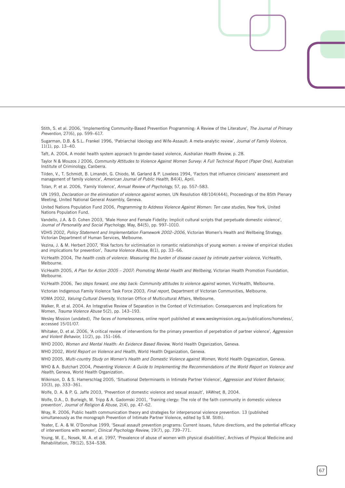Stith, S. et al. 2006, 'Implementing Community-Based Prevention Programming: A Review of the Literature', *The Journal of Primary Prevention,* 27(6), pp. 599–617.

Sugarman, D.B. & S.L. Frankel 1996, 'Patriarchal Ideology and Wife-Assault: A meta-analytic review', *Journal of Family Violence,* 11(1), pp. 13–40.

Taft, A. 2004, A model health system approach to gender-based violence, *Australian Health Review,* p. 28.

Taylor N & Mouzos J 2006, *Community Attitudes to Violence Against Women Survey: A Full Technical Report (Paper One),* Australian Institute of Criminology, Canberra.

Tilden, V., T. Schmidt, B. Limandri, G. Chiodo, M. Garland & P. Loveless 1994, 'Factors that influence clinicians' assessment and management of family violence', *American Journal of Public Health,* 84(4), April.

Tolan, P. et al. 2006, 'Family Violence', *Annual Review of Psychology,* 57, pp. 557–583.

UN 1993, *Declaration on the elimination of violence against women,* UN Resolution 48/104(444), Proceedings of the 85th Plenary Meeting, United National General Assembly, Geneva.

United Nations Population Fund 2006, *Programming to Address Violence Against Women: Ten case studies,* New York, United Nations Population Fund.

Vandello, J.A. & D. Cohen 2003, 'Male Honor and Female Fidelity: Implicit cultural scripts that perpetuate domestic violence', *Journal of Personality and Social Psychology,* May, 84(5), pp. 997–1010.

VDHS 2002, *Policy Statement and Implementation Framework 2002–2006,* Victorian Women's Health and Wellbeing Strategy, Victorian Department of Human Services, Melbourne.

Vezina, J. & M. Herbert 2007, 'Risk factors for victimisation in romantic relationships of young women: a review of empirical studies and implications for prevention', *Trauma Violence Abuse,* 8(1), pp. 33–66.

VicHealth 2004, *The health costs of violence: Measuring the burden of disease caused by intimate partner violence,* VicHealth, Melbourne.

VicHealth 2005, *A Plan for Action 2005 – 2007: Promoting Mental Health and Wellbeing,* Victorian Health Promotion Foundation, Melbourne.

VicHealth 2006, *Two steps forward, one step back: Community attitudes to violence against women,* VicHealth, Melbourne.

Victorian Indigenous Family Violence Task Force 2003, *Final report,* Department of Victorian Communities, Melbourne.

VOMA 2002, *Valuing Cultural Diversity,* Victorian Office of Multicultural Affairs, Melbourne.

Walker, R. et al. 2004. An Integrative Review of Separation in the Context of Victimisation: Consequences and Implications for Women, *Trauma Violence Abuse* 5(2), pp. 143–193.

Wesley Mission (undated), *The faces of homelessness,* online report published at www.wesleymission.org.au/publications/homeless/, accessed 15/01/07.

Whitaker, D. et al. 2006, 'A critical review of interventions for the primary prevention of perpetration of partner violence', *Aggression and Violent Behavior,* 11(2), pp. 151–166.

WHO 2000, *Women and Mental Health: An Evidence Based Review,* World Health Organization, Geneva.

WHO 2002, *World Report on Violence and Health,* World Health Organization, Geneva.

WHO 2005, *Multi-country Study on Women's Health and Domestic Violence against Women,* World Health Organization, Geneva.

WHO & A. Butchart 2004, *Preventing Violence: A Guide to Implementing the Recommendations of the World Report on Violence and Health,* Geneva, World Health Organization.

Wilkinson, D. & S. Hamerschlag 2005, 'Situational Determinants in Intimate Partner Violence', *Aggression and Violent Behavior,* 10(3), pp. 333–361.

Wolfe, D. A. & P. G. Jaffe 2003, 'Prevention of domestic violence and sexual assault', *VAWnet,* 8, 2004.

Wolfe, D.A., D. Burleigh, M. Tripp & A. Gadomski 2001, 'Training clergy: The role of the faith community in domestic violence prevention', *Journal of Religion & Abuse,* 2(4), pp. 47–62.

Wray, R. 2006, Public health communication theory and strategies for interpersonal violence prevention. 13 (published simultaneously as the monograph Prevention of Intimate Partner Violence, edited by S.M. Stith).

Yeater, E. A. & W. O'Donohue 1999, 'Sexual assault prevention programs: Current issues, future directions, and the potential efficacy of interventions with women', *Clinical Psychology Review,* 19(7), pp. 739–771.

Young, M. E., Nosek, M. A. et al. 1997, 'Prevalence of abuse of women with physical disabilities', Archives of Physical Medicine and Rehabilitation, 78(12), S34–S38.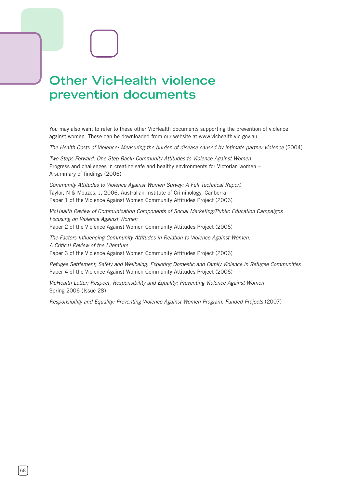# **Other VicHealth violence prevention documents**

You may also want to refer to these other VicHealth documents supporting the prevention of violence against women. These can be downloaded from our website at www.vichealth.vic.gov.au

*The Health Costs of Violence: Measuring the burden of disease caused by intimate partner violence* (2004)

*Two Steps Forward, One Step Back: Community Attitudes to Violence Against Women* Progress and challenges in creating safe and healthy environments for Victorian women – A summary of findings (2006)

*Community Attitudes to Violence Against Women Survey: A Full Technical Report*  Taylor, N & Mouzos, J, 2006, Australian Institute of Criminology, Canberra Paper 1 of the Violence Against Women Community Attitudes Project (2006)

*VicHealth Review of Communication Components of Social Marketing/Public Education Campaigns Focusing on Violence Against Women* Paper 2 of the Violence Against Women Community Attitudes Project (2006)

*The Factors Influencing Community Attitudes in Relation to Violence Against Women: A Critical Review of the Literature*  Paper 3 of the Violence Against Women Community Attitudes Project (2006)

*Refugee Settlement, Safety and Wellbeing: Exploring Domestic and Family Violence in Refugee Communities* Paper 4 of the Violence Against Women Community Attitudes Project (2006)

*VicHealth Letter: Respect, Responsibility and Equality: Preventing Violence Against Women*  Spring 2006 (Issue 28)

*Responsibility and Equality: Preventing Violence Against Women Program. Funded Projects* (2007)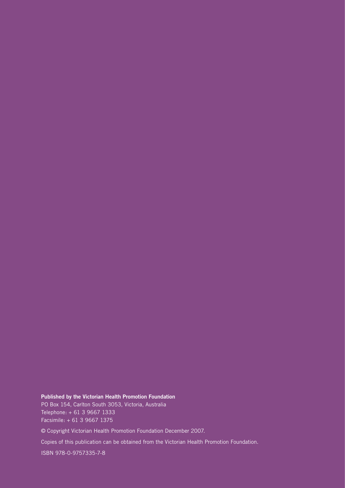**Published by the Victorian Health Promotion Foundation** PO Box 154, Carlton South 3053, Victoria, Australia Telephone: + 61 3 9667 1333 Facsimile: + 61 3 9667 1375

© Copyright Victorian Health Promotion Foundation December 2007.

Copies of this publication can be obtained from the Victorian Health Promotion Foundation.

ISBN 978-0-9757335-7-8